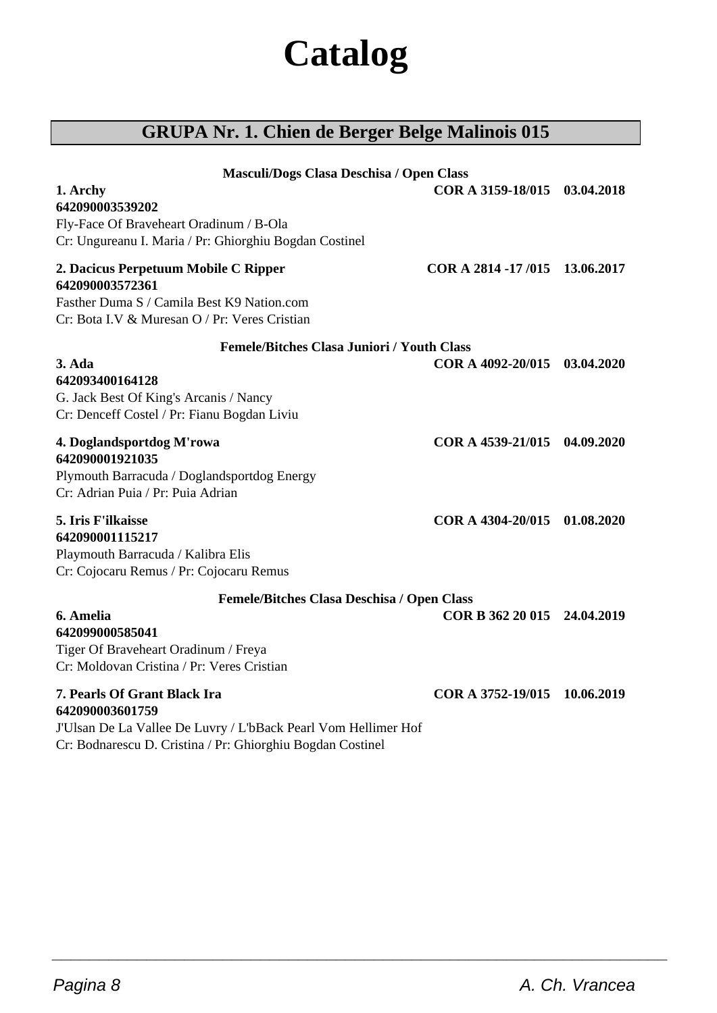# **Catalog**

# **GRUPA Nr. 1. Chien de Berger Belge Malinois 015**

| Masculi/Dogs Clasa Deschisa / Open Class                       |                               |            |
|----------------------------------------------------------------|-------------------------------|------------|
| 1. Archy                                                       | COR A 3159-18/015 03.04.2018  |            |
| 642090003539202                                                |                               |            |
| Fly-Face Of Braveheart Oradinum / B-Ola                        |                               |            |
| Cr: Ungureanu I. Maria / Pr: Ghiorghiu Bogdan Costinel         |                               |            |
| 2. Dacicus Perpetuum Mobile C Ripper<br>642090003572361        | COR A 2814 -17/015 13.06.2017 |            |
| Fasther Duma S / Camila Best K9 Nation.com                     |                               |            |
| Cr: Bota I.V & Muresan O / Pr: Veres Cristian                  |                               |            |
| <b>Femele/Bitches Clasa Juniori / Youth Class</b>              |                               |            |
| $3. Ada$                                                       | COR A 4092-20/015 03.04.2020  |            |
| 642093400164128                                                |                               |            |
| G. Jack Best Of King's Arcanis / Nancy                         |                               |            |
| Cr: Denceff Costel / Pr: Fianu Bogdan Liviu                    |                               |            |
|                                                                | COR A 4539-21/015 04.09.2020  |            |
| 4. Doglandsportdog M'rowa<br>642090001921035                   |                               |            |
| Plymouth Barracuda / Doglandsportdog Energy                    |                               |            |
| Cr: Adrian Puia / Pr: Puia Adrian                              |                               |            |
|                                                                |                               |            |
| 5. Iris F'ilkaisse                                             | COR A 4304-20/015             | 01.08.2020 |
| 642090001115217                                                |                               |            |
| Playmouth Barracuda / Kalibra Elis                             |                               |            |
| Cr: Cojocaru Remus / Pr: Cojocaru Remus                        |                               |            |
| Femele/Bitches Clasa Deschisa / Open Class                     |                               |            |
| 6. Amelia                                                      | COR B 362 20 015 24.04.2019   |            |
| 642099000585041                                                |                               |            |
| Tiger Of Braveheart Oradinum / Freya                           |                               |            |
| Cr: Moldovan Cristina / Pr: Veres Cristian                     |                               |            |
| 7. Pearls Of Grant Black Ira<br>642090003601759                | COR A 3752-19/015             | 10.06.2019 |
| J'Ulsan De La Vallee De Luvry / L'bBack Pearl Vom Hellimer Hof |                               |            |
| Cr: Bodnarescu D. Cristina / Pr: Ghiorghiu Bogdan Costinel     |                               |            |
|                                                                |                               |            |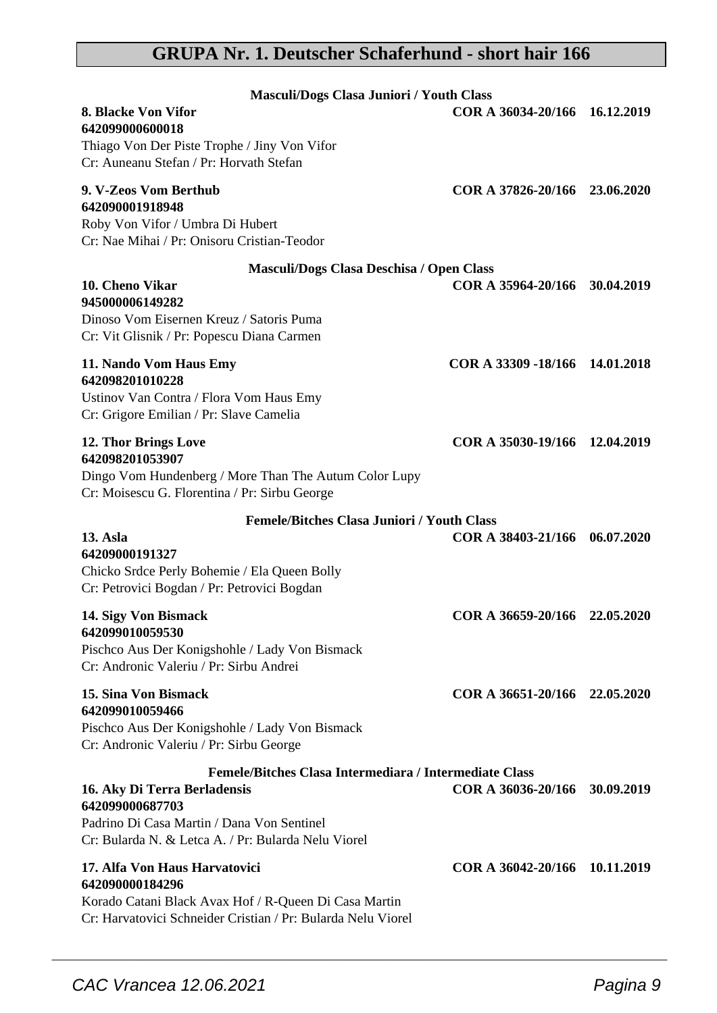# **GRUPA Nr. 1. Deutscher Schaferhund - short hair 166**

| Masculi/Dogs Clasa Juniori / Youth Class                                                                                                                                                                       |                                |            |
|----------------------------------------------------------------------------------------------------------------------------------------------------------------------------------------------------------------|--------------------------------|------------|
| 8. Blacke Von Vifor<br>642099000600018<br>Thiago Von Der Piste Trophe / Jiny Von Vifor                                                                                                                         | COR A 36034-20/166 16.12.2019  |            |
| Cr: Auneanu Stefan / Pr: Horvath Stefan                                                                                                                                                                        |                                |            |
| 9. V-Zeos Vom Berthub<br>642090001918948                                                                                                                                                                       | COR A 37826-20/166 23.06.2020  |            |
| Roby Von Vifor / Umbra Di Hubert<br>Cr: Nae Mihai / Pr: Onisoru Cristian-Teodor                                                                                                                                |                                |            |
| Masculi/Dogs Clasa Deschisa / Open Class                                                                                                                                                                       |                                |            |
| 10. Cheno Vikar<br>945000006149282<br>Dinoso Vom Eisernen Kreuz / Satoris Puma<br>Cr: Vit Glisnik / Pr: Popescu Diana Carmen                                                                                   | COR A 35964-20/166             | 30.04.2019 |
| 11. Nando Vom Haus Emy<br>642098201010228<br>Ustinov Van Contra / Flora Vom Haus Emy<br>Cr: Grigore Emilian / Pr: Slave Camelia                                                                                | COR A 33309 -18/166 14.01.2018 |            |
| 12. Thor Brings Love<br>642098201053907<br>Dingo Vom Hundenberg / More Than The Autum Color Lupy<br>Cr: Moisescu G. Florentina / Pr: Sirbu George                                                              | COR A 35030-19/166 12.04.2019  |            |
| <b>Femele/Bitches Clasa Juniori / Youth Class</b>                                                                                                                                                              |                                |            |
| <b>13. Asla</b><br>64209000191327<br>Chicko Srdce Perly Bohemie / Ela Queen Bolly<br>Cr: Petrovici Bogdan / Pr: Petrovici Bogdan                                                                               | COR A 38403-21/166 06.07.2020  |            |
| 14. Sigy Von Bismack<br>642099010059530                                                                                                                                                                        | COR A 36659-20/166 22.05.2020  |            |
| Pischco Aus Der Konigshohle / Lady Von Bismack<br>Cr: Andronic Valeriu / Pr: Sirbu Andrei                                                                                                                      |                                |            |
| 15. Sina Von Bismack<br>642099010059466                                                                                                                                                                        | COR A 36651-20/166 22.05.2020  |            |
| Pischco Aus Der Konigshohle / Lady Von Bismack<br>Cr: Andronic Valeriu / Pr: Sirbu George                                                                                                                      |                                |            |
| Femele/Bitches Clasa Intermediara / Intermediate Class<br>16. Aky Di Terra Berladensis<br>642099000687703<br>Padrino Di Casa Martin / Dana Von Sentinel<br>Cr: Bularda N. & Letca A. / Pr: Bularda Nelu Viorel | COR A 36036-20/166             | 30.09.2019 |
| 17. Alfa Von Haus Harvatovici<br>642090000184296<br>Korado Catani Black Avax Hof / R-Queen Di Casa Martin<br>Cr: Harvatovici Schneider Cristian / Pr: Bularda Nelu Viorel                                      | COR A 36042-20/166 10.11.2019  |            |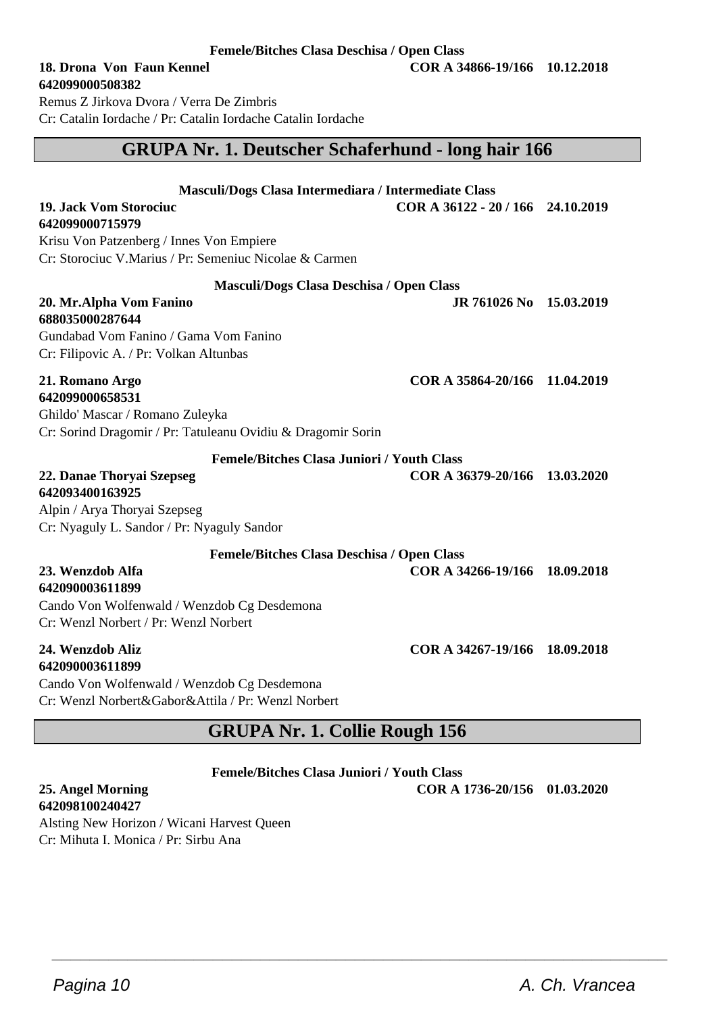**642099000508382** Remus Z Jirkova Dvora / Verra De Zimbris

Cr: Catalin Iordache / Pr: Catalin Iordache Catalin Iordache

# **GRUPA Nr. 1. Deutscher Schaferhund - long hair 166**

|  | Masculi/Dogs Clasa Intermediara / Intermediate Class |
|--|------------------------------------------------------|
|--|------------------------------------------------------|

**642099000715979**

Krisu Von Patzenberg / Innes Von Empiere Cr: Storociuc V.Marius / Pr: Semeniuc Nicolae & Carmen

#### **Masculi/Dogs Clasa Deschisa / Open Class**

**20. Mr.Alpha Vom Fanino JR 761026 No 15.03.2019 688035000287644** Gundabad Vom Fanino / Gama Vom Fanino Cr: Filipovic A. / Pr: Volkan Altunbas

#### **21. Romano Argo COR A 35864-20/166 11.04.2019 642099000658531**

Ghildo' Mascar / Romano Zuleyka Cr: Sorind Dragomir / Pr: Tatuleanu Ovidiu & Dragomir Sorin

**Femele/Bitches Clasa Juniori / Youth Class**

#### **22. Danae Thoryai Szepseg COR A 36379-20/166 13.03.2020 642093400163925**

Alpin / Arya Thoryai Szepseg Cr: Nyaguly L. Sandor / Pr: Nyaguly Sandor

**Femele/Bitches Clasa Deschisa / Open Class**

#### **23. Wenzdob Alfa COR A 34266-19/166 18.09.2018 642090003611899**

Cando Von Wolfenwald / Wenzdob Cg Desdemona Cr: Wenzl Norbert / Pr: Wenzl Norbert

# **642090003611899**

Cando Von Wolfenwald / Wenzdob Cg Desdemona Cr: Wenzl Norbert&Gabor&Attila / Pr: Wenzl Norbert

# **GRUPA Nr. 1. Collie Rough 156**

**Femele/Bitches Clasa Juniori / Youth Class**

 $\overline{\phantom{a}}$  , and the set of the set of the set of the set of the set of the set of the set of the set of the set of the set of the set of the set of the set of the set of the set of the set of the set of the set of the s

**25. Angel Morning COR A 1736-20/156 01.03.2020 642098100240427**

Alsting New Horizon / Wicani Harvest Queen Cr: Mihuta I. Monica / Pr: Sirbu Ana



**24. Wenzdob Aliz COR A 34267-19/166 18.09.2018**

**19. Jack Vom Storociuc COR A 36122 - 20 / 166 24.10.2019**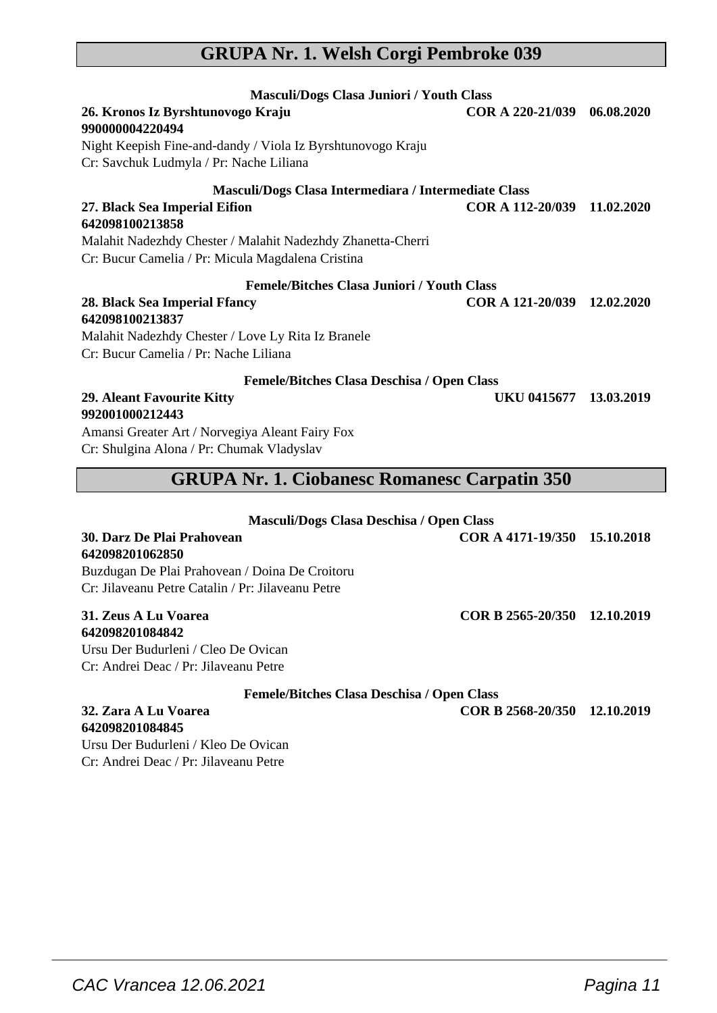# **GRUPA Nr. 1. Welsh Corgi Pembroke 039**

| Masculi/Dogs Clasa Juniori / Youth Class                                                               |                             |  |
|--------------------------------------------------------------------------------------------------------|-----------------------------|--|
| 26. Kronos Iz Byrshtunovogo Kraju<br>990000004220494                                                   | COR A 220-21/039 06.08.2020 |  |
| Night Keepish Fine-and-dandy / Viola Iz Byrshtunovogo Kraju<br>Cr: Savchuk Ludmyla / Pr: Nache Liliana |                             |  |
| Masculi/Dogs Clasa Intermediara / Intermediate Class                                                   |                             |  |
| 27. Black Sea Imperial Eifion                                                                          | COR A 112-20/039 11.02.2020 |  |
| 642098100213858                                                                                        |                             |  |
| Malahit Nadezhdy Chester / Malahit Nadezhdy Zhanetta-Cherri                                            |                             |  |
| Cr: Bucur Camelia / Pr: Micula Magdalena Cristina                                                      |                             |  |
| <b>Femele/Bitches Clasa Juniori / Youth Class</b>                                                      |                             |  |
| 28. Black Sea Imperial Ffancy<br>642098100213837                                                       | COR A 121-20/039 12.02.2020 |  |
| Malahit Nadezhdy Chester / Love Ly Rita Iz Branele                                                     |                             |  |
| Cr: Bucur Camelia / Pr: Nache Liliana                                                                  |                             |  |
| Femele/Bitches Clasa Deschisa / Open Class                                                             |                             |  |
| 29. Aleant Favourite Kitty<br>992001000212443                                                          | UKU 0415677 13.03.2019      |  |
| Amansi Greater Art / Norvegiya Aleant Fairy Fox                                                        |                             |  |
| Cr: Shulgina Alona / Pr: Chumak Vladyslav                                                              |                             |  |
| <b>GRUPA Nr. 1. Ciobanesc Romanesc Carpatin 350</b>                                                    |                             |  |
| Masculi/Dogs Clasa Deschisa / Open Class                                                               |                             |  |

| <b>Mascum</b> Dogs Chasa Deschisa / Open Chass    |                              |  |
|---------------------------------------------------|------------------------------|--|
| 30. Darz De Plai Prahovean                        | COR A 4171-19/350 15.10.2018 |  |
| 642098201062850                                   |                              |  |
| Buzdugan De Plai Prahovean / Doina De Croitoru    |                              |  |
| Cr: Jilaveanu Petre Catalin / Pr: Jilaveanu Petre |                              |  |
| 31. Zeus A Lu Voarea                              | COR B 2565-20/350 12.10.2019 |  |
| 642098201084842                                   |                              |  |
| Ursu Der Budurleni / Cleo De Ovican               |                              |  |
| Cr: Andrei Deac / Pr: Jilaveanu Petre             |                              |  |

**Femele/Bitches Clasa Deschisa / Open Class**

 $\overline{\phantom{a}}$  , and the set of the set of the set of the set of the set of the set of the set of the set of the set of the set of the set of the set of the set of the set of the set of the set of the set of the set of the s

**32. Zara A Lu Voarea COR B 2568-20/350 12.10.2019**

**642098201084845** Ursu Der Budurleni / Kleo De Ovican Cr: Andrei Deac / Pr: Jilaveanu Petre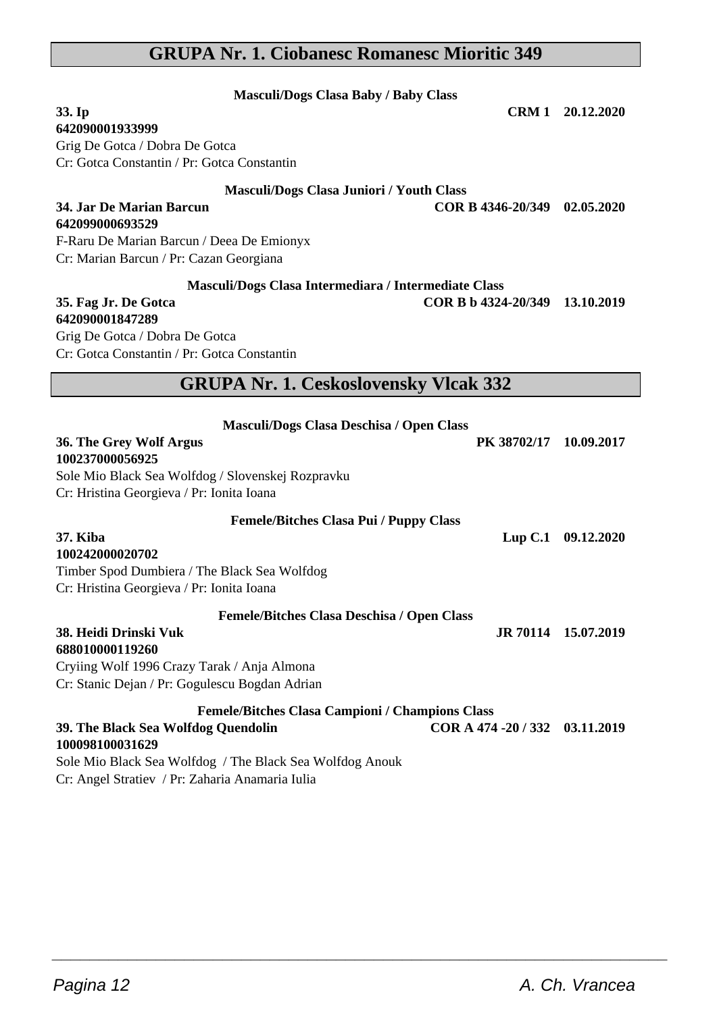# **GRUPA Nr. 1. Ciobanesc Romanesc Mioritic 349**

| <b>Masculi/Dogs Clasa Baby / Baby Class</b>                                                                                                                                              |                                |                     |
|------------------------------------------------------------------------------------------------------------------------------------------------------------------------------------------|--------------------------------|---------------------|
| 33. Ip                                                                                                                                                                                   |                                | CRM 1 20.12.2020    |
| 642090001933999                                                                                                                                                                          |                                |                     |
| Grig De Gotca / Dobra De Gotca                                                                                                                                                           |                                |                     |
| Cr: Gotca Constantin / Pr: Gotca Constantin                                                                                                                                              |                                |                     |
| Masculi/Dogs Clasa Juniori / Youth Class                                                                                                                                                 |                                |                     |
| 34. Jar De Marian Barcun<br>642099000693529                                                                                                                                              | COR B 4346-20/349 02.05.2020   |                     |
| F-Raru De Marian Barcun / Deea De Emionyx                                                                                                                                                |                                |                     |
| Cr: Marian Barcun / Pr: Cazan Georgiana                                                                                                                                                  |                                |                     |
|                                                                                                                                                                                          |                                |                     |
| Masculi/Dogs Clasa Intermediara / Intermediate Class<br>35. Fag Jr. De Gotca                                                                                                             | COR B b 4324-20/349 13.10.2019 |                     |
| 642090001847289                                                                                                                                                                          |                                |                     |
| Grig De Gotca / Dobra De Gotca                                                                                                                                                           |                                |                     |
| Cr: Gotca Constantin / Pr: Gotca Constantin                                                                                                                                              |                                |                     |
|                                                                                                                                                                                          |                                |                     |
| <b>GRUPA Nr. 1. Ceskoslovensky Vlcak 332</b>                                                                                                                                             |                                |                     |
| Masculi/Dogs Clasa Deschisa / Open Class<br>36. The Grey Wolf Argus<br>100237000056925<br>Sole Mio Black Sea Wolfdog / Slovenskej Rozpravku<br>Cr: Hristina Georgieva / Pr: Ionita Ioana | PK 38702/17                    | 10.09.2017          |
| Femele/Bitches Clasa Pui / Puppy Class                                                                                                                                                   |                                |                     |
| 37. Kiba<br>100242000020702<br>Timber Spod Dumbiera / The Black Sea Wolfdog<br>Cr: Hristina Georgieva / Pr: Ionita Ioana                                                                 |                                | Lup C.1 09.12.2020  |
| Femele/Bitches Clasa Deschisa / Open Class                                                                                                                                               |                                |                     |
| 38. Heidi Drinski Vuk<br>688010000119260                                                                                                                                                 |                                | JR 70114 15.07.2019 |
| Cryiing Wolf 1996 Crazy Tarak / Anja Almona<br>Cr: Stanic Dejan / Pr: Gogulescu Bogdan Adrian                                                                                            |                                |                     |
|                                                                                                                                                                                          |                                |                     |
| Femele/Bitches Clasa Campioni / Champions Class<br>39. The Black Sea Wolfdog Quendolin<br>100098100031629<br>Sole Mio Black Sea Wolfdog / The Black Sea Wolfdog Anouk                    | COR A 474 - 20 / 332           | 03.11.2019          |
| Cr: Angel Stratiev / Pr: Zaharia Anamaria Iulia                                                                                                                                          |                                |                     |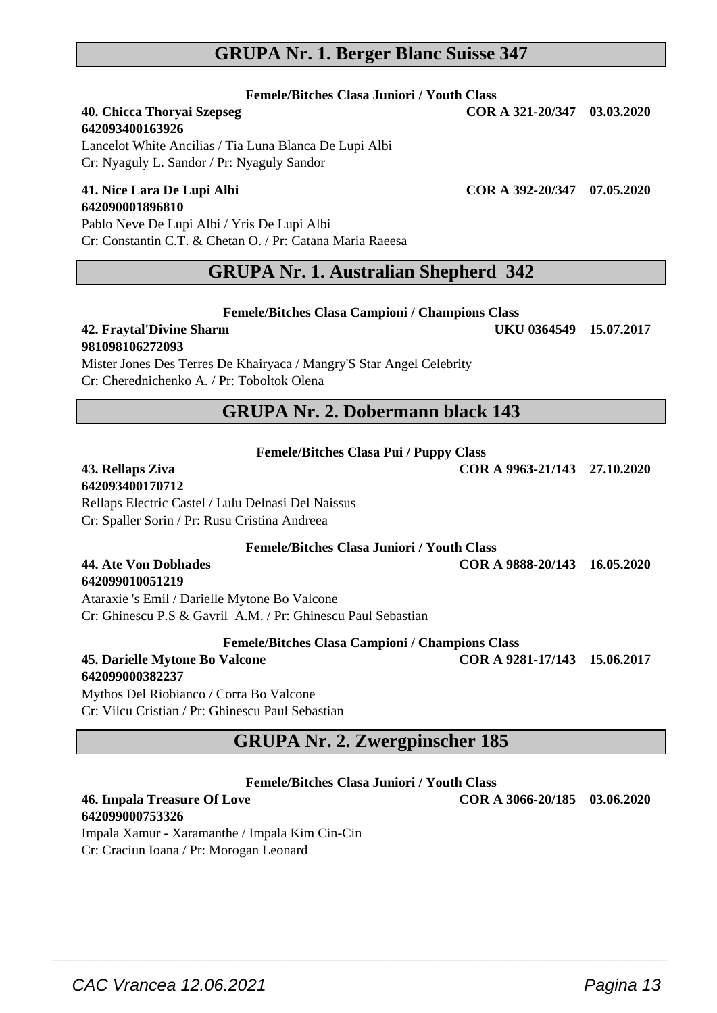CAC Vrancea 12.06.2021 **Pagina 13** 

## **GRUPA Nr. 1. Berger Blanc Suisse 347**

**Femele/Bitches Clasa Juniori / Youth Class**

# **642093400163926**

Lancelot White Ancilias / Tia Luna Blanca De Lupi Albi Cr: Nyaguly L. Sandor / Pr: Nyaguly Sandor

#### **41. Nice Lara De Lupi Albi COR A 392-20/347 07.05.2020 642090001896810**

Pablo Neve De Lupi Albi / Yris De Lupi Albi Cr: Constantin C.T. & Chetan O. / Pr: Catana Maria Raeesa

## **GRUPA Nr. 1. Australian Shepherd 342**

**Femele/Bitches Clasa Campioni / Champions Class**

#### **42. Fraytal'Divine Sharm UKU 0364549 15.07.2017 981098106272093**

Mister Jones Des Terres De Khairyaca / Mangry'S Star Angel Celebrity Cr: Cherednichenko A. / Pr: Toboltok Olena

#### **GRUPA Nr. 2. Dobermann black 143**

| Femele/Bitches Clasa Pui / Puppy Class |  |  |  |  |
|----------------------------------------|--|--|--|--|
|----------------------------------------|--|--|--|--|

#### **43. Rellaps Ziva COR A 9963-21/143 27.10.2020 642093400170712**

**642099010051219**

**642099000753326**

Rellaps Electric Castel / Lulu Delnasi Del Naissus Cr: Spaller Sorin / Pr: Rusu Cristina Andreea

**Femele/Bitches Clasa Juniori / Youth Class**

**44. Ate Von Dobhades COR A 9888-20/143 16.05.2020**

Ataraxie 's Emil / Darielle Mytone Bo Valcone Cr: Ghinescu P.S & Gavril A.M. / Pr: Ghinescu Paul Sebastian

**Femele/Bitches Clasa Campioni / Champions Class**

**45. Darielle Mytone Bo Valcone COR A 9281-17/143 15.06.2017 642099000382237**

Mythos Del Riobianco / Corra Bo Valcone Cr: Vilcu Cristian / Pr: Ghinescu Paul Sebastian

Impala Xamur - Xaramanthe / Impala Kim Cin-Cin Cr: Craciun Ioana / Pr: Morogan Leonard

# **GRUPA Nr. 2. Zwergpinscher 185**

**Femele/Bitches Clasa Juniori / Youth Class**

**46. Impala Treasure Of Love COR A 3066-20/185 03.06.2020**

**40. Chicca Thoryai Szepseg COR A 321-20/347 03.03.2020**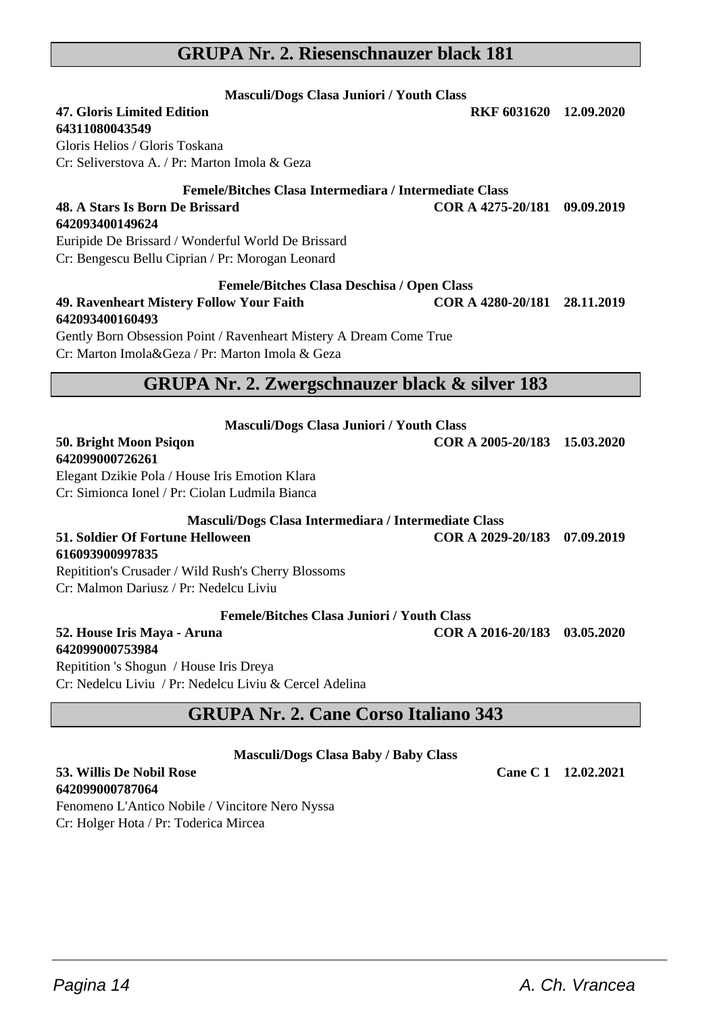# **GRUPA Nr. 2. Riesenschnauzer black 181**

| <b>Masculi/Dogs Clasa Juniori / Youth Class</b><br><b>47. Gloris Limited Edition</b><br>64311080043549<br>Gloris Helios / Gloris Toskana<br>Cr: Seliverstova A. / Pr: Marton Imola & Geza                                                 | RKF 6031620 12.09.2020       |            |
|-------------------------------------------------------------------------------------------------------------------------------------------------------------------------------------------------------------------------------------------|------------------------------|------------|
| Femele/Bitches Clasa Intermediara / Intermediate Class<br>48. A Stars Is Born De Brissard<br>642093400149624<br>Euripide De Brissard / Wonderful World De Brissard<br>Cr: Bengescu Bellu Ciprian / Pr: Morogan Leonard                    | COR A 4275-20/181            | 09.09.2019 |
| <b>Femele/Bitches Clasa Deschisa / Open Class</b><br>49. Ravenheart Mistery Follow Your Faith<br>642093400160493<br>Gently Born Obsession Point / Ravenheart Mistery A Dream Come True<br>Cr: Marton Imola&Geza / Pr: Marton Imola & Geza | COR A 4280-20/181            | 28.11.2019 |
| GRUPA Nr. 2. Zwergschnauzer black & silver 183                                                                                                                                                                                            |                              |            |
| Masculi/Dogs Clasa Juniori / Youth Class<br>50. Bright Moon Psiqon<br>642099000726261<br>Elegant Dzikie Pola / House Iris Emotion Klara<br>Cr: Simionca Ionel / Pr: Ciolan Ludmila Bianca                                                 | COR A 2005-20/183 15.03.2020 |            |
| Masculi/Dogs Clasa Intermediara / Intermediate Class<br>51. Soldier Of Fortune Helloween<br>616093900997835<br>Repitition's Crusader / Wild Rush's Cherry Blossoms<br>Cr: Malmon Dariusz / Pr: Nedelcu Liviu                              | COR A 2029-20/183 07.09.2019 |            |
| <b>Femele/Bitches Clasa Juniori / Youth Class</b>                                                                                                                                                                                         |                              |            |
| 52. House Iris Maya - Aruna<br>642099000753984<br>Repitition 's Shogun / House Iris Dreya<br>Cr: Nedelcu Liviu / Pr: Nedelcu Liviu & Cercel Adelina                                                                                       | COR A 2016-20/183            | 03.05.2020 |

# **GRUPA Nr. 2. Cane Corso Italiano 343**

#### **Masculi/Dogs Clasa Baby / Baby Class**

 $\overline{\phantom{a}}$  , and the set of the set of the set of the set of the set of the set of the set of the set of the set of the set of the set of the set of the set of the set of the set of the set of the set of the set of the s

**53. Willis De Nobil Rose Cane C 1 12.02.2021 642099000787064** Fenomeno L'Antico Nobile / Vincitore Nero Nyssa

Cr: Holger Hota / Pr: Toderica Mircea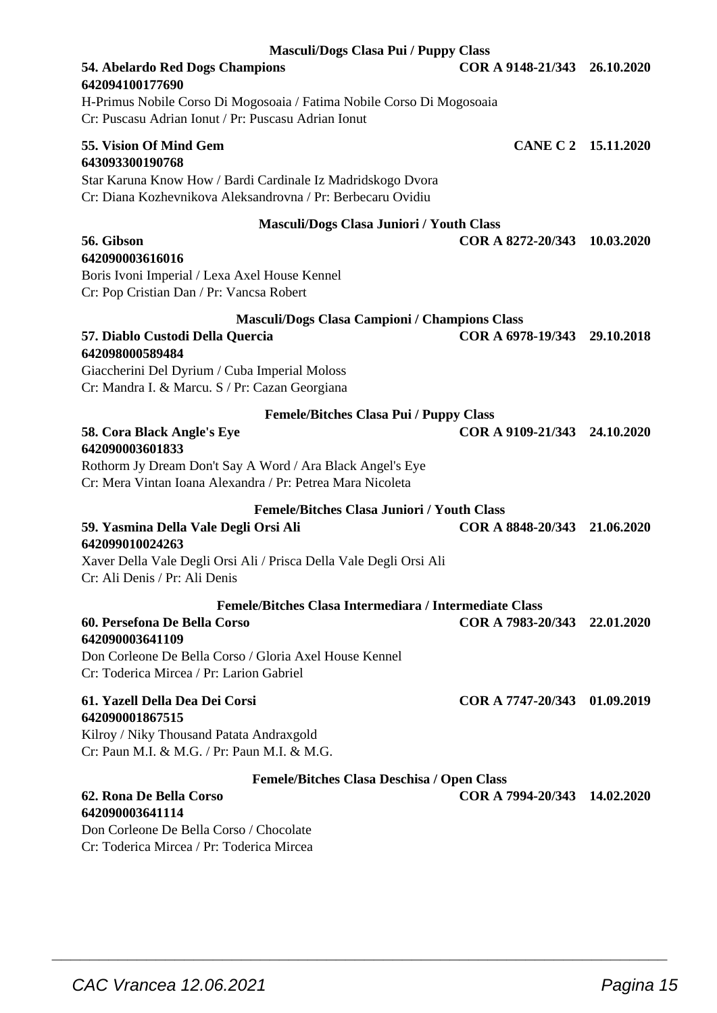| 54. Abelardo Red Dogs Champions<br>COR A 9148-21/343 26.10.2020<br>642094100177690                                           |            |
|------------------------------------------------------------------------------------------------------------------------------|------------|
| H-Primus Nobile Corso Di Mogosoaia / Fatima Nobile Corso Di Mogosoaia<br>Cr: Puscasu Adrian Ionut / Pr: Puscasu Adrian Ionut |            |
| 55. Vision Of Mind Gem<br>CANE C 2 15.11.2020<br>643093300190768                                                             |            |
| Star Karuna Know How / Bardi Cardinale Iz Madridskogo Dvora<br>Cr: Diana Kozhevnikova Aleksandrovna / Pr: Berbecaru Ovidiu   |            |
| Masculi/Dogs Clasa Juniori / Youth Class                                                                                     |            |
| 56. Gibson<br>COR A 8272-20/343 10.03.2020                                                                                   |            |
| 642090003616016                                                                                                              |            |
| Boris Ivoni Imperial / Lexa Axel House Kennel<br>Cr: Pop Cristian Dan / Pr: Vancsa Robert                                    |            |
| <b>Masculi/Dogs Clasa Campioni / Champions Class</b>                                                                         |            |
| COR A 6978-19/343 29.10.2018<br>57. Diablo Custodi Della Quercia<br>642098000589484                                          |            |
| Giaccherini Del Dyrium / Cuba Imperial Moloss                                                                                |            |
| Cr: Mandra I. & Marcu. S / Pr: Cazan Georgiana                                                                               |            |
| <b>Femele/Bitches Clasa Pui / Puppy Class</b>                                                                                |            |
| COR A 9109-21/343 24.10.2020<br>58. Cora Black Angle's Eye                                                                   |            |
| 642090003601833<br>Rothorm Jy Dream Don't Say A Word / Ara Black Angel's Eye                                                 |            |
| Cr: Mera Vintan Ioana Alexandra / Pr: Petrea Mara Nicoleta                                                                   |            |
| <b>Femele/Bitches Clasa Juniori / Youth Class</b>                                                                            |            |
| COR A 8848-20/343 21.06.2020<br>59. Yasmina Della Vale Degli Orsi Ali                                                        |            |
| 642099010024263<br>Xaver Della Vale Degli Orsi Ali / Prisca Della Vale Degli Orsi Ali                                        |            |
| Cr: Ali Denis / Pr: Ali Denis                                                                                                |            |
| Femele/Bitches Clasa Intermediara / Intermediate Class                                                                       |            |
| COR A 7983-20/343 22.01.2020<br>60. Persefona De Bella Corso<br>642090003641109                                              |            |
| Don Corleone De Bella Corso / Gloria Axel House Kennel<br>Cr: Toderica Mircea / Pr: Larion Gabriel                           |            |
| COR A 7747-20/343 01.09.2019<br>61. Yazell Della Dea Dei Corsi<br>642090001867515                                            |            |
| Kilroy / Niky Thousand Patata Andraxgold                                                                                     |            |
| Cr: Paun M.I. & M.G. / Pr: Paun M.I. & M.G.                                                                                  |            |
| <b>Femele/Bitches Clasa Deschisa / Open Class</b>                                                                            |            |
| 62. Rona De Bella Corso<br>COR A 7994-20/343                                                                                 | 14.02.2020 |
| 642090003641114                                                                                                              |            |
| Don Corleone De Bella Corso / Chocolate                                                                                      |            |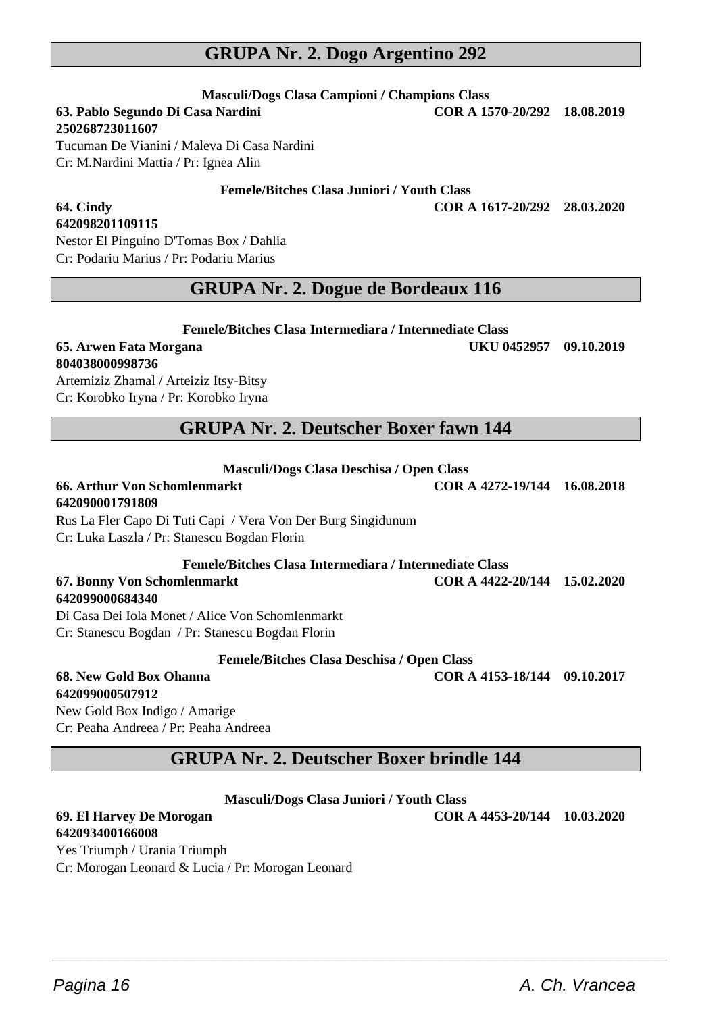## **GRUPA Nr. 2. Dogo Argentino 292**

**Masculi/Dogs Clasa Campioni / Champions Class**

**63. Pablo Segundo Di Casa Nardini COR A 1570-20/292 18.08.2019**

**250268723011607**

Tucuman De Vianini / Maleva Di Casa Nardini Cr: M.Nardini Mattia / Pr: Ignea Alin

**Femele/Bitches Clasa Juniori / Youth Class**

**64. Cindy COR A 1617-20/292 28.03.2020**

# **642098201109115**

Nestor El Pinguino D'Tomas Box / Dahlia Cr: Podariu Marius / Pr: Podariu Marius

#### **GRUPA Nr. 2. Dogue de Bordeaux 116**

**Femele/Bitches Clasa Intermediara / Intermediate Class**

#### **65. Arwen Fata Morgana UKU 0452957 09.10.2019 804038000998736**

Artemiziz Zhamal / Arteiziz Itsy-Bitsy Cr: Korobko Iryna / Pr: Korobko Iryna

## **GRUPA Nr. 2. Deutscher Boxer fawn 144**

**Masculi/Dogs Clasa Deschisa / Open Class**

# **642090001791809**

#### Rus La Fler Capo Di Tuti Capi / Vera Von Der Burg Singidunum Cr: Luka Laszla / Pr: Stanescu Bogdan Florin

## **Femele/Bitches Clasa Intermediara / Intermediate Class**

**67. Bonny Von Schomlenmarkt COR A 4422-20/144 15.02.2020**

#### **642099000684340**

Di Casa Dei Iola Monet / Alice Von Schomlenmarkt Cr: Stanescu Bogdan / Pr: Stanescu Bogdan Florin

**Femele/Bitches Clasa Deschisa / Open Class**

**68. New Gold Box Ohanna COR A 4153-18/144 09.10.2017**

**642099000507912** New Gold Box Indigo / Amarige Cr: Peaha Andreea / Pr: Peaha Andreea

## **GRUPA Nr. 2. Deutscher Boxer brindle 144**

#### **Masculi/Dogs Clasa Juniori / Youth Class**

 $\overline{\phantom{a}}$  , and the set of the set of the set of the set of the set of the set of the set of the set of the set of the set of the set of the set of the set of the set of the set of the set of the set of the set of the s

# **642093400166008**

Yes Triumph / Urania Triumph Cr: Morogan Leonard & Lucia / Pr: Morogan Leonard

**69. El Harvey De Morogan COR A 4453-20/144 10.03.2020**

**66. Arthur Von Schomlenmarkt COR A 4272-19/144 16.08.2018**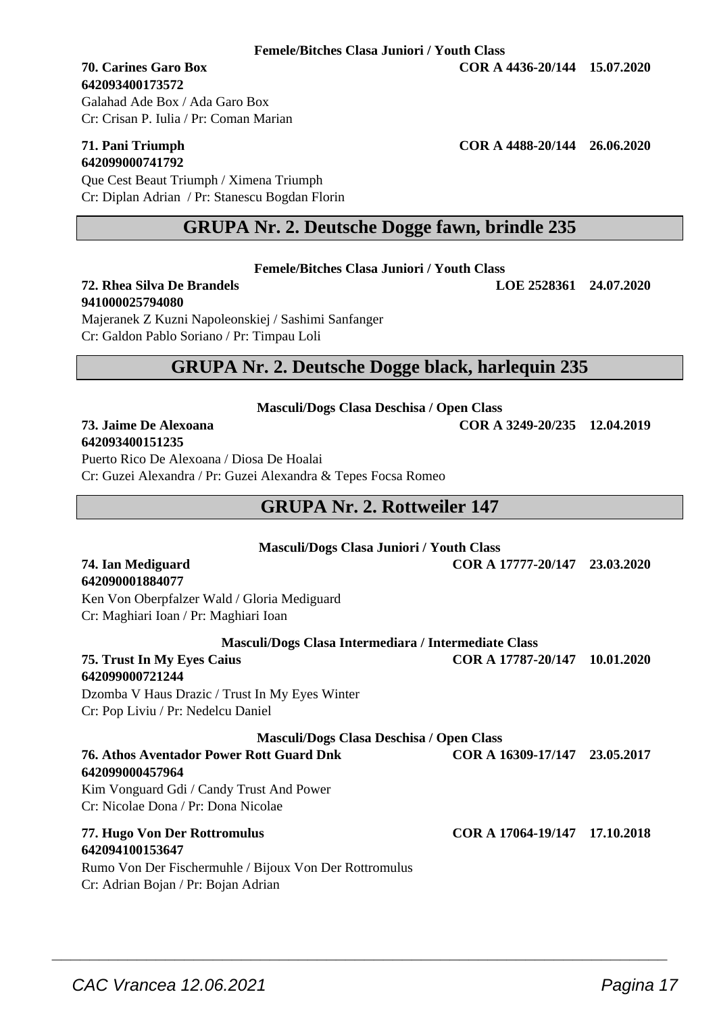#### **642093400173572**

Cr: Crisan P. Iulia / Pr: Coman Marian

# **642099000741792**

Que Cest Beaut Triumph / Ximena Triumph Cr: Diplan Adrian / Pr: Stanescu Bogdan Florin

## **GRUPA Nr. 2. Deutsche Dogge fawn, brindle 235**

**Femele/Bitches Clasa Juniori / Youth Class**

**72. Rhea Silva De Brandels LOE 2528361 24.07.2020**

**941000025794080** Majeranek Z Kuzni Napoleonskiej / Sashimi Sanfanger Cr: Galdon Pablo Soriano / Pr: Timpau Loli

## **GRUPA Nr. 2. Deutsche Dogge black, harlequin 235**

**Masculi/Dogs Clasa Deschisa / Open Class**

**73. Jaime De Alexoana COR A 3249-20/235 12.04.2019**

**642093400151235** Puerto Rico De Alexoana / Diosa De Hoalai

Cr: Guzei Alexandra / Pr: Guzei Alexandra & Tepes Focsa Romeo

# **GRUPA Nr. 2. Rottweiler 147**

| <b>Masculi/Dogs Clasa Juniori / Youth Class</b><br>COR A 17777-20/147 23.03.2020<br>Masculi/Dogs Clasa Intermediara / Intermediate Class<br>COR A 17787-20/147 10.01.2020<br>Masculi/Dogs Clasa Deschisa / Open Class<br>COR A 16309-17/147 23.05.2017<br>COR A 17064-19/147 17.10.2018 |
|-----------------------------------------------------------------------------------------------------------------------------------------------------------------------------------------------------------------------------------------------------------------------------------------|

 $\overline{\phantom{a}}$  , and the set of the set of the set of the set of the set of the set of the set of the set of the set of the set of the set of the set of the set of the set of the set of the set of the set of the set of the s

**70. Carines Garo Box COR A 4436-20/144 15.07.2020**

Galahad Ade Box / Ada Garo Box

# **71. Pani Triumph COR A 4488-20/144 26.06.2020**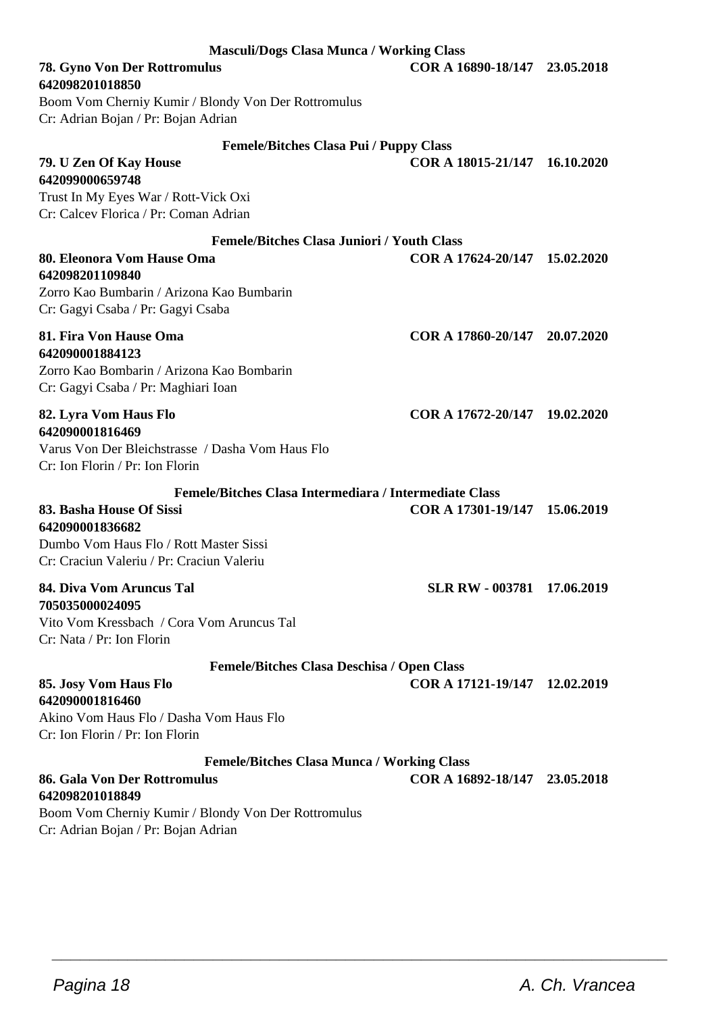| <b>Masculi/Dogs Clasa Munca / Working Class</b>                                            |                               |            |
|--------------------------------------------------------------------------------------------|-------------------------------|------------|
| 78. Gyno Von Der Rottromulus<br>642098201018850                                            | COR A 16890-18/147 23.05.2018 |            |
| Boom Vom Cherniy Kumir / Blondy Von Der Rottromulus                                        |                               |            |
| Cr: Adrian Bojan / Pr: Bojan Adrian                                                        |                               |            |
| <b>Femele/Bitches Clasa Pui / Puppy Class</b>                                              |                               |            |
| 79. U Zen Of Kay House<br>642099000659748                                                  | COR A 18015-21/147            | 16.10.2020 |
| Trust In My Eyes War / Rott-Vick Oxi                                                       |                               |            |
| Cr: Calcey Florica / Pr: Coman Adrian                                                      |                               |            |
| <b>Femele/Bitches Clasa Juniori / Youth Class</b>                                          |                               |            |
| 80. Eleonora Vom Hause Oma<br>642098201109840                                              | COR A 17624-20/147 15.02.2020 |            |
| Zorro Kao Bumbarin / Arizona Kao Bumbarin                                                  |                               |            |
| Cr: Gagyi Csaba / Pr: Gagyi Csaba                                                          |                               |            |
| 81. Fira Von Hause Oma                                                                     | COR A 17860-20/147 20.07.2020 |            |
| 642090001884123                                                                            |                               |            |
| Zorro Kao Bombarin / Arizona Kao Bombarin                                                  |                               |            |
| Cr: Gagyi Csaba / Pr: Maghiari Ioan                                                        |                               |            |
| 82. Lyra Vom Haus Flo                                                                      | COR A 17672-20/147 19.02.2020 |            |
| 642090001816469<br>Varus Von Der Bleichstrasse / Dasha Vom Haus Flo                        |                               |            |
| Cr: Ion Florin / Pr: Ion Florin                                                            |                               |            |
| Femele/Bitches Clasa Intermediara / Intermediate Class                                     |                               |            |
| 83. Basha House Of Sissi                                                                   | COR A 17301-19/147 15.06.2019 |            |
| 642090001836682                                                                            |                               |            |
| Dumbo Vom Haus Flo / Rott Master Sissi<br>Cr: Craciun Valeriu / Pr: Craciun Valeriu        |                               |            |
|                                                                                            |                               |            |
| 84. Diva Vom Aruncus Tal<br>705035000024095                                                | SLR RW - 003781 17.06.2019    |            |
| Vito Vom Kressbach / Cora Vom Aruncus Tal                                                  |                               |            |
| Cr: Nata / Pr: Ion Florin                                                                  |                               |            |
| <b>Femele/Bitches Clasa Deschisa / Open Class</b>                                          |                               |            |
| 85. Josy Vom Haus Flo                                                                      | COR A 17121-19/147 12.02.2019 |            |
| 642090001816460                                                                            |                               |            |
| Akino Vom Haus Flo / Dasha Vom Haus Flo                                                    |                               |            |
| Cr: Ion Florin / Pr: Ion Florin                                                            |                               |            |
| <b>Femele/Bitches Clasa Munca / Working Class</b>                                          |                               |            |
| 86. Gala Von Der Rottromulus                                                               | COR A 16892-18/147 23.05.2018 |            |
| 642098201018849                                                                            |                               |            |
| Boom Vom Cherniy Kumir / Blondy Von Der Rottromulus<br>Cr: Adrian Bojan / Pr: Bojan Adrian |                               |            |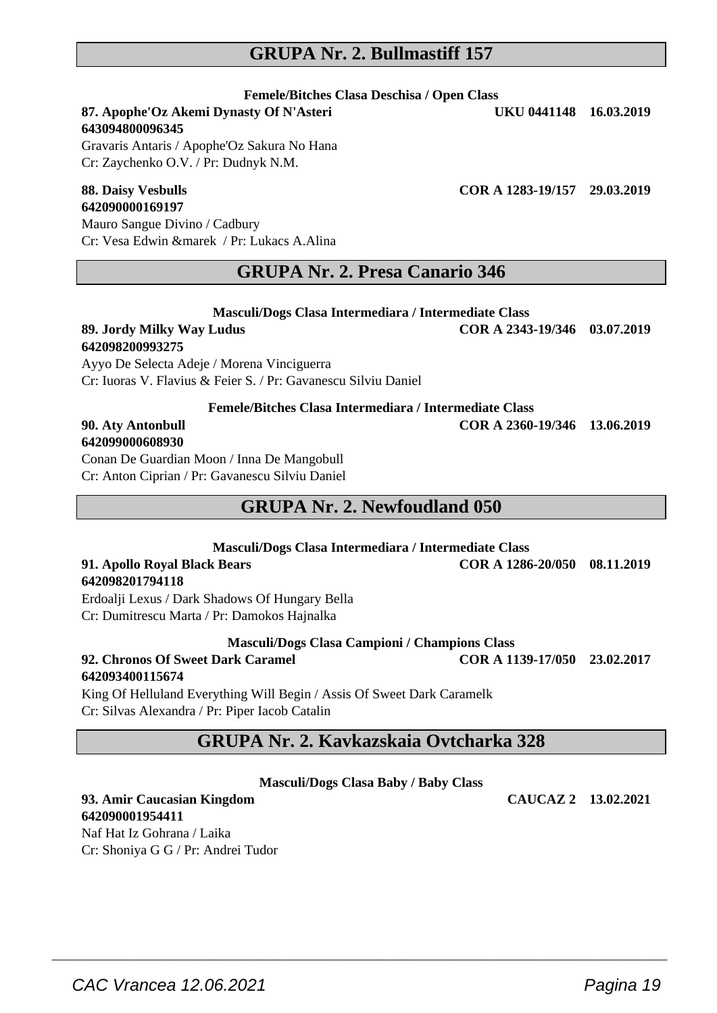## **GRUPA Nr. 2. Bullmastiff 157**

**Femele/Bitches Clasa Deschisa / Open Class**

**87. Apophe'Oz Akemi Dynasty Of N'Asteri UKU 0441148 16.03.2019 643094800096345**

Gravaris Antaris / Apophe'Oz Sakura No Hana Cr: Zaychenko O.V. / Pr: Dudnyk N.M.

# **642090000169197**

Mauro Sangue Divino / Cadbury Cr: Vesa Edwin &marek / Pr: Lukacs A.Alina

#### **GRUPA Nr. 2. Presa Canario 346**

**Masculi/Dogs Clasa Intermediara / Intermediate Class 89. Jordy Milky Way Ludus COR A 2343-19/346 03.07.2019 642098200993275**

Ayyo De Selecta Adeje / Morena Vinciguerra Cr: Iuoras V. Flavius & Feier S. / Pr: Gavanescu Silviu Daniel

**Femele/Bitches Clasa Intermediara / Intermediate Class**

#### **90. Aty Antonbull COR A 2360-19/346 13.06.2019 642099000608930**

Conan De Guardian Moon / Inna De Mangobull Cr: Anton Ciprian / Pr: Gavanescu Silviu Daniel

## **GRUPA Nr. 2. Newfoudland 050**

#### **Masculi/Dogs Clasa Intermediara / Intermediate Class 91. Apollo Royal Black Bears COR A 1286-20/050 08.11.2019 642098201794118**

Erdoalji Lexus / Dark Shadows Of Hungary Bella Cr: Dumitrescu Marta / Pr: Damokos Hajnalka

**Masculi/Dogs Clasa Campioni / Champions Class**

#### **92. Chronos Of Sweet Dark Caramel COR A 1139-17/050 23.02.2017 642093400115674**

King Of Helluland Everything Will Begin / Assis Of Sweet Dark Caramelk Cr: Silvas Alexandra / Pr: Piper Iacob Catalin

# **GRUPA Nr. 2. Kavkazskaia Ovtcharka 328**

**Masculi/Dogs Clasa Baby / Baby Class**

 $\overline{\phantom{a}}$  , and the set of the set of the set of the set of the set of the set of the set of the set of the set of the set of the set of the set of the set of the set of the set of the set of the set of the set of the s

#### **93. Amir Caucasian Kingdom CAUCAZ 2 13.02.2021 642090001954411**

Naf Hat Iz Gohrana / Laika Cr: Shoniya G G / Pr: Andrei Tudor

**88. Daisy Vesbulls COR A 1283-19/157 29.03.2019**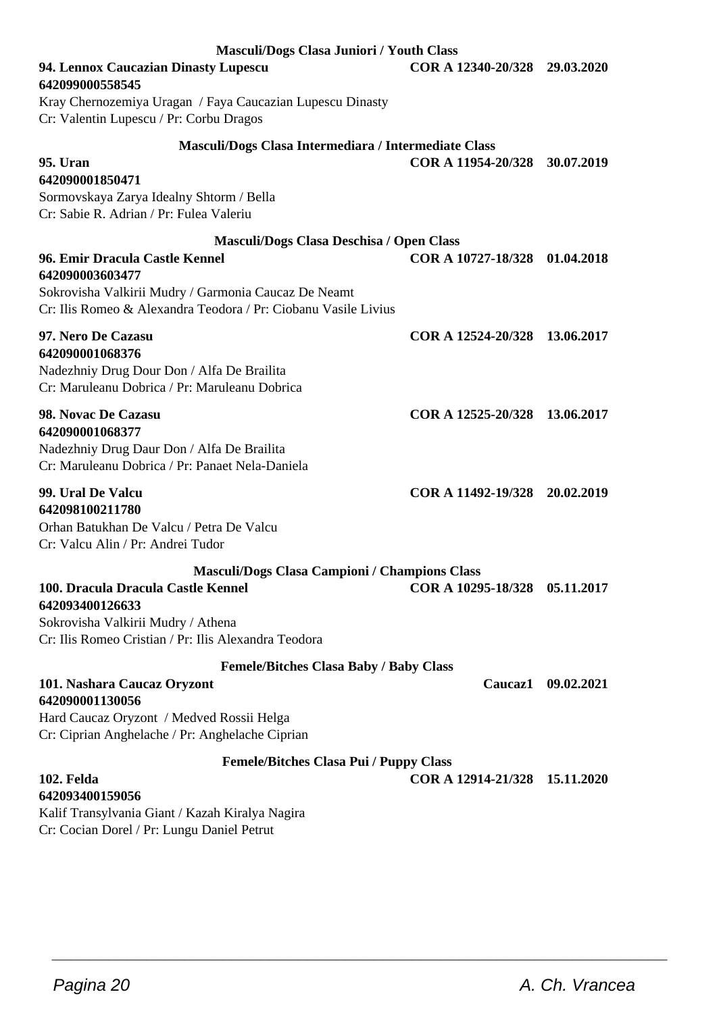| Masculi/Dogs Clasa Juniori / Youth Class                                                      |                               |                    |
|-----------------------------------------------------------------------------------------------|-------------------------------|--------------------|
| 94. Lennox Caucazian Dinasty Lupescu<br>642099000558545                                       | COR A 12340-20/328 29.03.2020 |                    |
| Kray Chernozemiya Uragan / Faya Caucazian Lupescu Dinasty                                     |                               |                    |
| Cr: Valentin Lupescu / Pr: Corbu Dragos                                                       |                               |                    |
| Masculi/Dogs Clasa Intermediara / Intermediate Class                                          |                               |                    |
| 95. Uran                                                                                      | COR A 11954-20/328 30.07.2019 |                    |
| 642090001850471                                                                               |                               |                    |
| Sormovskaya Zarya Idealny Shtorm / Bella<br>Cr: Sabie R. Adrian / Pr: Fulea Valeriu           |                               |                    |
|                                                                                               |                               |                    |
| Masculi/Dogs Clasa Deschisa / Open Class<br>96. Emir Dracula Castle Kennel                    | COR A 10727-18/328 01.04.2018 |                    |
| 642090003603477                                                                               |                               |                    |
| Sokrovisha Valkirii Mudry / Garmonia Caucaz De Neamt                                          |                               |                    |
| Cr: Ilis Romeo & Alexandra Teodora / Pr: Ciobanu Vasile Livius                                |                               |                    |
| 97. Nero De Cazasu                                                                            | COR A 12524-20/328 13.06.2017 |                    |
| 642090001068376                                                                               |                               |                    |
| Nadezhniy Drug Dour Don / Alfa De Brailita                                                    |                               |                    |
| Cr: Maruleanu Dobrica / Pr: Maruleanu Dobrica                                                 |                               |                    |
| 98. Novac De Cazasu                                                                           | COR A 12525-20/328 13.06.2017 |                    |
| 642090001068377                                                                               |                               |                    |
| Nadezhniy Drug Daur Don / Alfa De Brailita<br>Cr: Maruleanu Dobrica / Pr: Panaet Nela-Daniela |                               |                    |
| 99. Ural De Valcu                                                                             | COR A 11492-19/328 20.02.2019 |                    |
| 642098100211780                                                                               |                               |                    |
| Orhan Batukhan De Valcu / Petra De Valcu                                                      |                               |                    |
| Cr: Valcu Alin / Pr: Andrei Tudor                                                             |                               |                    |
| <b>Masculi/Dogs Clasa Campioni / Champions Class</b>                                          |                               |                    |
| 100. Dracula Dracula Castle Kennel                                                            | COR A 10295-18/328            | 05.11.2017         |
| 642093400126633                                                                               |                               |                    |
| Sokrovisha Valkirii Mudry / Athena<br>Cr: Ilis Romeo Cristian / Pr: Ilis Alexandra Teodora    |                               |                    |
|                                                                                               |                               |                    |
| <b>Femele/Bitches Clasa Baby / Baby Class</b><br>101. Nashara Caucaz Oryzont                  |                               | Caucaz1 09.02.2021 |
| 642090001130056                                                                               |                               |                    |
| Hard Caucaz Oryzont / Medved Rossii Helga                                                     |                               |                    |
| Cr: Ciprian Anghelache / Pr: Anghelache Ciprian                                               |                               |                    |
| Femele/Bitches Clasa Pui / Puppy Class                                                        |                               |                    |
| 102. Felda                                                                                    | COR A 12914-21/328            | 15.11.2020         |
| 642093400159056                                                                               |                               |                    |
| Kalif Transylvania Giant / Kazah Kiralya Nagira                                               |                               |                    |

Cr: Cocian Dorel / Pr: Lungu Daniel Petrut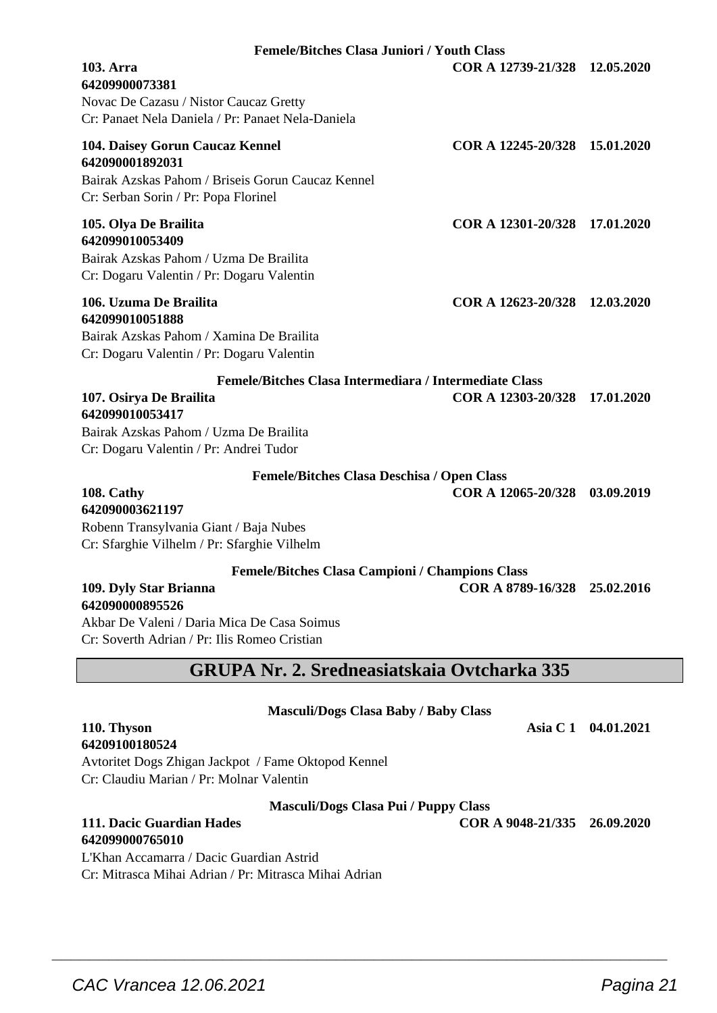| <b>Masculi/Dogs Clasa Pui / Puppy Class</b><br>111. Dacic Guardian Hades<br>642099000765010<br>L'Khan Accamarra / Dacic Guardian Astrid<br>Cr: Mitrasca Mihai Adrian / Pr: Mitrasca Mihai Adrian<br>CAC Vrancea 12.06.2021 | COR A 9048-21/335 26.09.2020 |  |
|----------------------------------------------------------------------------------------------------------------------------------------------------------------------------------------------------------------------------|------------------------------|--|
|                                                                                                                                                                                                                            |                              |  |
|                                                                                                                                                                                                                            |                              |  |
|                                                                                                                                                                                                                            |                              |  |
|                                                                                                                                                                                                                            |                              |  |
|                                                                                                                                                                                                                            |                              |  |
|                                                                                                                                                                                                                            |                              |  |
|                                                                                                                                                                                                                            | Pagina 21                    |  |
|                                                                                                                                                                                                                            |                              |  |

| <b>Femele/Bitches Clasa Juniori / Youth Class</b>                                                                                               |                               |  |
|-------------------------------------------------------------------------------------------------------------------------------------------------|-------------------------------|--|
| 103. Arra<br>64209900073381<br>Novac De Cazasu / Nistor Caucaz Gretty<br>Cr: Panaet Nela Daniela / Pr: Panaet Nela-Daniela                      | COR A 12739-21/328 12.05.2020 |  |
| 104. Daisey Gorun Caucaz Kennel<br>642090001892031<br>Bairak Azskas Pahom / Briseis Gorun Caucaz Kennel<br>Cr: Serban Sorin / Pr: Popa Florinel | COR A 12245-20/328 15.01.2020 |  |
| 105. Olva De Brailita<br>642099010053409<br>Bairak Azskas Pahom / Uzma De Brailita<br>Cr: Dogaru Valentin / Pr: Dogaru Valentin                 | COR A 12301-20/328 17.01.2020 |  |
| 106. Uzuma De Brailita<br>642099010051888<br>Bairak Azskas Pahom / Xamina De Brailita<br>Cr: Dogaru Valentin / Pr: Dogaru Valentin              | COR A 12623-20/328 12.03.2020 |  |
| Femele/Bitches Clasa Intermediara / Intermediate Class                                                                                          |                               |  |
| 107. Osirva De Brailita<br>642099010053417                                                                                                      | COR A 12303-20/328 17.01.2020 |  |
| Bairak Azskas Pahom / Uzma De Brailita<br>Cr: Dogaru Valentin / Pr: Andrei Tudor                                                                |                               |  |
| <b>Femele/Bitches Clasa Deschisa / Open Class</b>                                                                                               |                               |  |
| 108. Cathy<br>642090003621197                                                                                                                   | COR A 12065-20/328 03.09.2019 |  |
| Robenn Transylvania Giant / Baja Nubes<br>Cr: Sfarghie Vilhelm / Pr: Sfarghie Vilhelm                                                           |                               |  |
|                                                                                                                                                 |                               |  |
| <b>Femele/Bitches Clasa Campioni / Champions Class</b><br>109. Dyly Star Brianna                                                                | COR A 8789-16/328 25.02.2016  |  |

**642090000895526** Akbar De Valeni / Daria Mica De Casa Soimus Cr: Soverth Adrian / Pr: Ilis Romeo Cristian

# **GRUPA Nr. 2. Sredneasiatskaia Ovtcharka 335**

**Masculi/Dogs Clasa Baby / Baby Class**

#### **110. Thyson Asia C 1 04.01.2021 64209100180524**

Avtoritet Dogs Zhigan Jackpot / Fame Oktopod Kennel Cr: Claudiu Marian / Pr: M

# **642099000765010**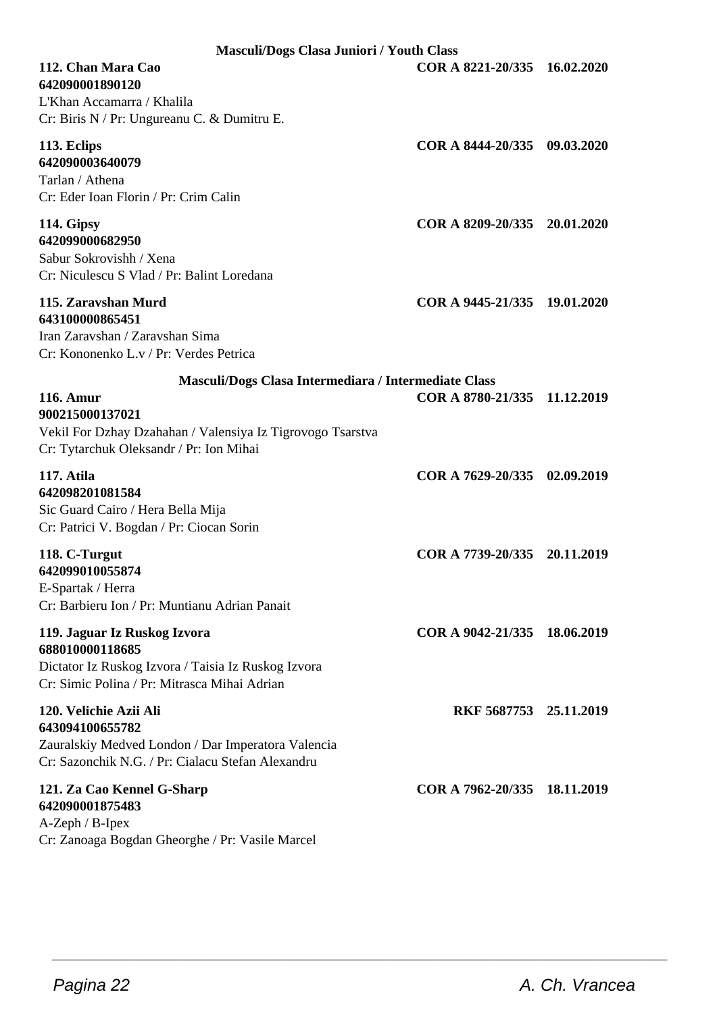| <b>Masculi/Dogs Clasa Juniori / Youth Class</b>                                                                                                        |                              |  |
|--------------------------------------------------------------------------------------------------------------------------------------------------------|------------------------------|--|
| 112. Chan Mara Cao<br>642090001890120<br>L'Khan Accamarra / Khalila<br>Cr: Biris N / Pr: Ungureanu C. & Dumitru E.                                     | COR A 8221-20/335 16.02.2020 |  |
| 113. Eclips<br>642090003640079<br>Tarlan / Athena<br>Cr: Eder Ioan Florin / Pr: Crim Calin                                                             | COR A 8444-20/335 09.03.2020 |  |
| 114. Gipsy<br>642099000682950<br>Sabur Sokrovishh / Xena<br>Cr: Niculescu S Vlad / Pr: Balint Loredana                                                 | COR A 8209-20/335 20.01.2020 |  |
| 115. Zaravshan Murd<br>643100000865451<br>Iran Zaravshan / Zaravshan Sima<br>Cr: Kononenko L.v / Pr: Verdes Petrica                                    | COR A 9445-21/335 19.01.2020 |  |
| Masculi/Dogs Clasa Intermediara / Intermediate Class                                                                                                   |                              |  |
| <b>116. Amur</b><br>900215000137021<br>Vekil For Dzhay Dzahahan / Valensiya Iz Tigrovogo Tsarstva<br>Cr: Tytarchuk Oleksandr / Pr: Ion Mihai           | COR A 8780-21/335 11.12.2019 |  |
| 117. Atila<br>642098201081584<br>Sic Guard Cairo / Hera Bella Mija<br>Cr: Patrici V. Bogdan / Pr: Ciocan Sorin                                         | COR A 7629-20/335 02.09.2019 |  |
| 118. C-Turgut<br>642099010055874<br>E-Spartak / Herra<br>Cr: Barbieru Ion / Pr: Muntianu Adrian Panait                                                 | COR A 7739-20/335 20.11.2019 |  |
| 119. Jaguar Iz Ruskog Izvora<br>688010000118685<br>Dictator Iz Ruskog Izvora / Taisia Iz Ruskog Izvora<br>Cr: Simic Polina / Pr: Mitrasca Mihai Adrian | COR A 9042-21/335 18.06.2019 |  |
| 120. Velichie Azii Ali<br>643094100655782<br>Zauralskiy Medved London / Dar Imperatora Valencia<br>Cr: Sazonchik N.G. / Pr: Cialacu Stefan Alexandru   | RKF 5687753 25.11.2019       |  |
| 121. Za Cao Kennel G-Sharp<br>642090001875483<br>$A-Zeph / B-Ipex$<br>Cr: Zanoaga Bogdan Gheorghe / Pr: Vasile Marcel                                  | COR A 7962-20/335 18.11.2019 |  |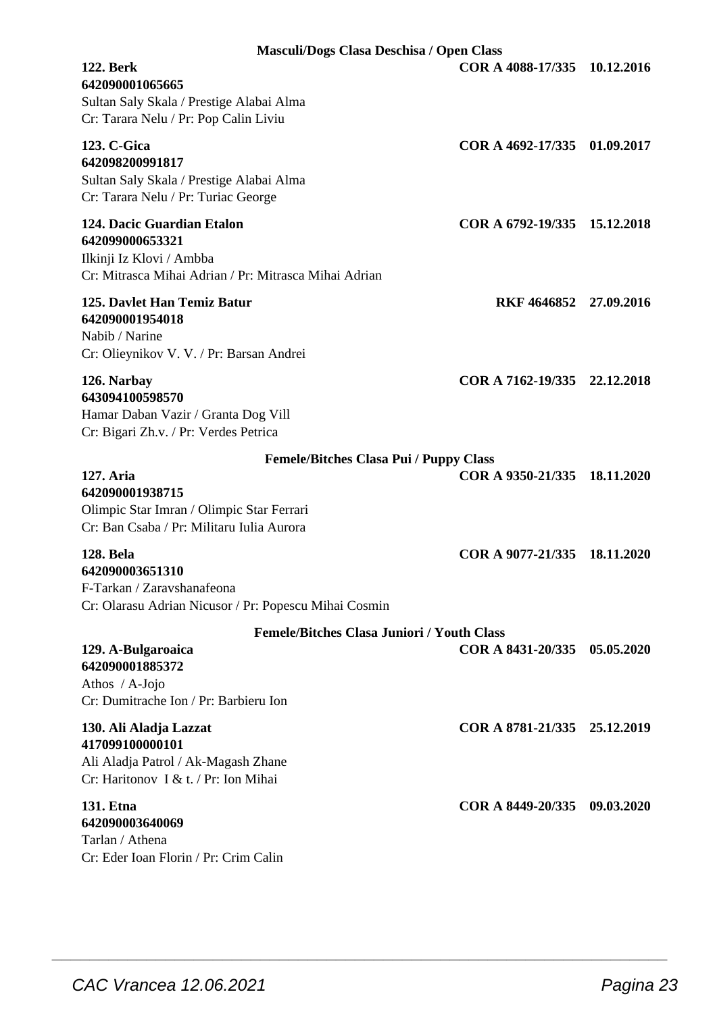| Masculi/Dogs Clasa Deschisa / Open Class                                                                                           |                              |            |
|------------------------------------------------------------------------------------------------------------------------------------|------------------------------|------------|
| <b>122. Berk</b><br>642090001065665<br>Sultan Saly Skala / Prestige Alabai Alma<br>Cr: Tarara Nelu / Pr: Pop Calin Liviu           | COR A 4088-17/335            | 10.12.2016 |
| 123. C-Gica<br>642098200991817<br>Sultan Saly Skala / Prestige Alabai Alma<br>Cr: Tarara Nelu / Pr: Turiac George                  | COR A 4692-17/335            | 01.09.2017 |
| 124. Dacic Guardian Etalon<br>642099000653321<br>Ilkinji Iz Klovi / Ambba<br>Cr: Mitrasca Mihai Adrian / Pr: Mitrasca Mihai Adrian | COR A 6792-19/335            | 15.12.2018 |
| 125. Davlet Han Temiz Batur<br>642090001954018<br>Nabib / Narine<br>Cr: Olieynikov V. V. / Pr: Barsan Andrei                       | RKF 4646852 27.09.2016       |            |
| 126. Narbay<br>643094100598570<br>Hamar Daban Vazir / Granta Dog Vill<br>Cr: Bigari Zh.v. / Pr: Verdes Petrica                     | COR A 7162-19/335 22.12.2018 |            |
| <b>Femele/Bitches Clasa Pui / Puppy Class</b>                                                                                      |                              |            |
| 127. Aria<br>642090001938715<br>Olimpic Star Imran / Olimpic Star Ferrari<br>Cr: Ban Csaba / Pr: Militaru Iulia Aurora             | COR A 9350-21/335            | 18.11.2020 |
| <b>128. Bela</b><br>642090003651310<br>F-Tarkan / Zaravshanafeona<br>Cr: Olarasu Adrian Nicusor / Pr: Popescu Mihai Cosmin         | COR A 9077-21/335            | 18.11.2020 |
| <b>Femele/Bitches Clasa Juniori / Youth Class</b>                                                                                  |                              |            |
| 129. A-Bulgaroaica<br>642090001885372<br>Athos $/$ A-Jojo<br>Cr: Dumitrache Ion / Pr: Barbieru Ion                                 | COR A 8431-20/335            | 05.05.2020 |
| 130. Ali Aladja Lazzat<br>417099100000101<br>Ali Aladja Patrol / Ak-Magash Zhane<br>Cr: Haritonov I & t. / Pr: Ion Mihai           | COR A 8781-21/335            | 25.12.2019 |
| <b>131. Etna</b><br>642090003640069<br>Tarlan / Athena<br>Cr: Eder Ioan Florin / Pr: Crim Calin                                    | COR A 8449-20/335            | 09.03.2020 |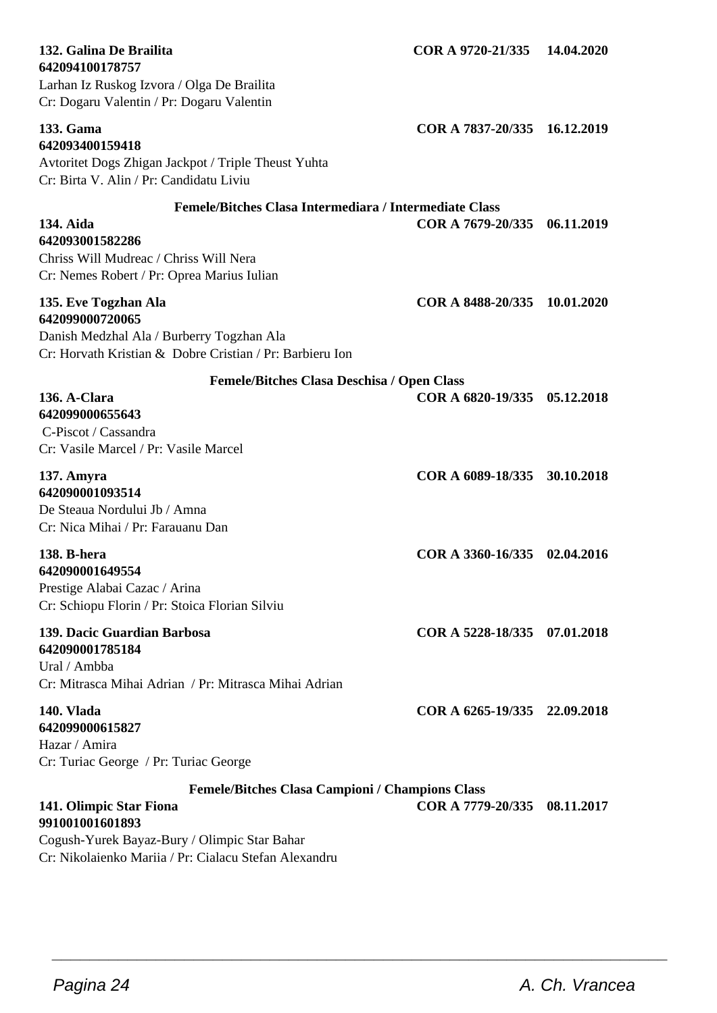| 642094100178757<br>Larhan Iz Ruskog Izvora / Olga De Brailita<br>Cr: Dogaru Valentin / Pr: Dogaru Valentin                                                                                                    |                              |            |
|---------------------------------------------------------------------------------------------------------------------------------------------------------------------------------------------------------------|------------------------------|------------|
| 133. Gama<br>642093400159418<br>Avtoritet Dogs Zhigan Jackpot / Triple Theust Yuhta<br>Cr: Birta V. Alin / Pr: Candidatu Liviu                                                                                | COR A 7837-20/335 16.12.2019 |            |
| Femele/Bitches Clasa Intermediara / Intermediate Class<br>134. Aida<br>642093001582286<br>Chriss Will Mudreac / Chriss Will Nera                                                                              | COR A 7679-20/335            | 06.11.2019 |
| Cr: Nemes Robert / Pr: Oprea Marius Iulian                                                                                                                                                                    |                              |            |
| 135. Eve Togzhan Ala<br>642099000720065<br>Danish Medzhal Ala / Burberry Togzhan Ala<br>Cr: Horvath Kristian & Dobre Cristian / Pr: Barbieru Ion                                                              | COR A 8488-20/335 10.01.2020 |            |
| Femele/Bitches Clasa Deschisa / Open Class                                                                                                                                                                    |                              |            |
| 136. A-Clara<br>642099000655643<br>C-Piscot / Cassandra<br>Cr: Vasile Marcel / Pr: Vasile Marcel                                                                                                              | COR A 6820-19/335 05.12.2018 |            |
| 137. Amyra<br>642090001093514<br>De Steaua Nordului Jb / Amna<br>Cr: Nica Mihai / Pr: Farauanu Dan                                                                                                            | COR A 6089-18/335            | 30.10.2018 |
| 138. B-hera<br>642090001649554<br>Prestige Alabai Cazac / Arina<br>Cr: Schiopu Florin / Pr: Stoica Florian Silviu                                                                                             | COR A 3360-16/335 02.04.2016 |            |
| 139. Dacic Guardian Barbosa<br>642090001785184<br>Ural / Ambba<br>Cr: Mitrasca Mihai Adrian / Pr: Mitrasca Mihai Adrian                                                                                       | COR A 5228-18/335 07.01.2018 |            |
| 140. Vlada<br>642099000615827<br>Hazar / Amira                                                                                                                                                                | COR A 6265-19/335 22.09.2018 |            |
| Cr: Turiac George / Pr: Turiac George                                                                                                                                                                         |                              |            |
| <b>Femele/Bitches Clasa Campioni / Champions Class</b><br>141. Olimpic Star Fiona<br>991001001601893<br>Cogush-Yurek Bayaz-Bury / Olimpic Star Bahar<br>Cr: Nikolaienko Mariia / Pr: Cialacu Stefan Alexandru | COR A 7779-20/335            | 08.11.2017 |

**132. Galina De Brailita COR A 9720-21/335 14.04.2020**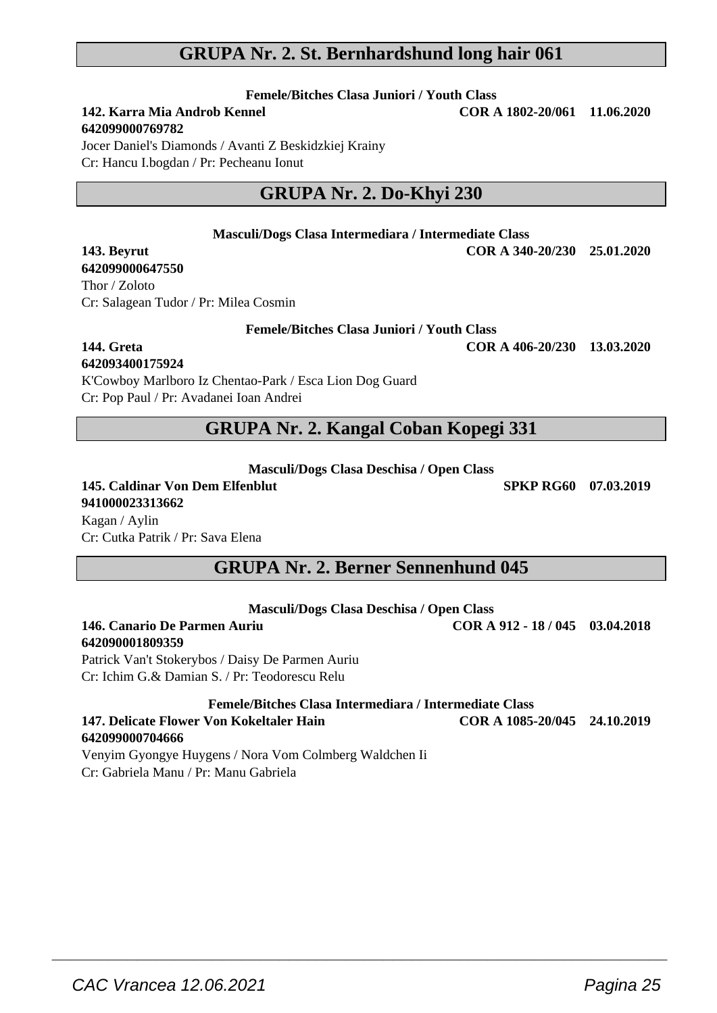## **GRUPA Nr. 2. St. Bernhardshund long hair 061**

**Femele/Bitches Clasa Juniori / Youth Class**<br>**142. Karra Mia Androh Kennel** COR 4

# **642099000769782**

**142. Karra Mia Androb Kennel COR A 1802-20/061 11.06.2020**

Jocer Daniel's Diamonds / Avanti Z Beskidzkiej Krainy Cr: Hancu I.bogdan / Pr: Pecheanu Ionut

# **GRUPA Nr. 2. Do-Khyi 230**

#### **Masculi/Dogs Clasa Intermediara / Intermediate Class**

**143. Beyrut COR A 340-20/230 25.01.2020**

**642099000647550** Thor / Zoloto Cr: Salagean Tudor / Pr: Milea Cosmin

#### **Femele/Bitches Clasa Juniori / Youth Class**

## **144. Greta COR A 406-20/230 13.03.2020**

**642093400175924**

**642090001809359**

K'Cowboy Marlboro Iz Chentao-Park / Esca Lion Dog Guard Cr: Pop Paul / Pr: Avadanei Ioan Andrei

## **GRUPA Nr. 2. Kangal Coban Kopegi 331**

**Masculi/Dogs Clasa Deschisa / Open Class**

**145. Caldinar Von Dem Elfenblut SPKP RG60 07.03.2019 941000023313662** Kagan / Aylin Cr: Cutka Patrik / Pr: Sava Elena

# **GRUPA Nr. 2. Berner Sennenhund 045**

|  | Masculi/Dogs Clasa Deschisa / Open Class |
|--|------------------------------------------|
|--|------------------------------------------|

**146. Canario De Parmen Auriu COR A 912 - 18 / 045 03.04.2018**

Patrick Van't Stokerybos / Daisy De Parmen Auriu Cr: Ichim G.& Damian S. / Pr: Teodorescu Relu

**Femele/Bitches Clasa Intermediara / Intermediate Class**

 $\overline{\phantom{a}}$  , and the set of the set of the set of the set of the set of the set of the set of the set of the set of the set of the set of the set of the set of the set of the set of the set of the set of the set of the s

**147. Delicate Flower Von Kokeltaler Hain COR A 1085-20/045 24.10.2019 642099000704666**

Venyim Gyongye Huygens / Nora Vom Colmberg Waldchen Ii Cr: Gabriela Manu / Pr: Manu Gabriela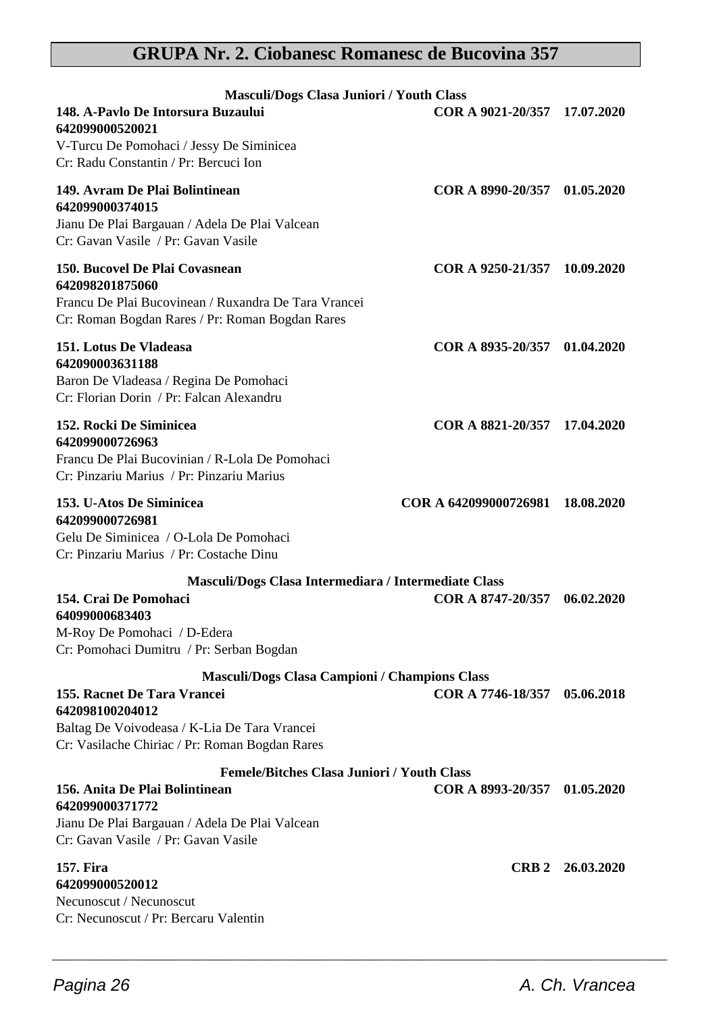# **GRUPA Nr. 2. Ciobanesc Romanesc de Bucovina 357**

| Masculi/Dogs Clasa Juniori / Youth Class                                                                                                                                   |                                  |                  |
|----------------------------------------------------------------------------------------------------------------------------------------------------------------------------|----------------------------------|------------------|
| 148. A-Pavlo De Intorsura Buzaului<br>642099000520021                                                                                                                      | COR A 9021-20/357 17.07.2020     |                  |
| V-Turcu De Pomohaci / Jessy De Siminicea<br>Cr: Radu Constantin / Pr: Bercuci Ion                                                                                          |                                  |                  |
| 149. Avram De Plai Bolintinean<br>642099000374015<br>Jianu De Plai Bargauan / Adela De Plai Valcean<br>Cr: Gavan Vasile / Pr: Gavan Vasile                                 | COR A 8990-20/357 01.05.2020     |                  |
| 150. Bucovel De Plai Covasnean<br>642098201875060<br>Francu De Plai Bucovinean / Ruxandra De Tara Vrancei<br>Cr: Roman Bogdan Rares / Pr: Roman Bogdan Rares               | COR A 9250-21/357 10.09.2020     |                  |
| 151. Lotus De Vladeasa<br>642090003631188<br>Baron De Vladeasa / Regina De Pomohaci<br>Cr: Florian Dorin / Pr: Falcan Alexandru                                            | COR A 8935-20/357 01.04.2020     |                  |
| <b>152. Rocki De Siminicea</b><br>642099000726963<br>Francu De Plai Bucovinian / R-Lola De Pomohaci<br>Cr: Pinzariu Marius / Pr: Pinzariu Marius                           | COR A 8821-20/357 17.04.2020     |                  |
| 153. U-Atos De Siminicea<br>642099000726981<br>Gelu De Siminicea / O-Lola De Pomohaci<br>Cr: Pinzariu Marius / Pr: Costache Dinu                                           | COR A 642099000726981 18.08.2020 |                  |
| Masculi/Dogs Clasa Intermediara / Intermediate Class<br>154. Crai De Pomohaci<br>64099000683403<br>M-Roy De Pomohaci / D-Edera<br>Cr: Pomohaci Dumitru / Pr: Serban Bogdan | COR A 8747-20/357 06.02.2020     |                  |
| <b>Masculi/Dogs Clasa Campioni / Champions Class</b>                                                                                                                       |                                  |                  |
| 155. Racnet De Tara Vrancei<br>642098100204012<br>Baltag De Voivodeasa / K-Lia De Tara Vrancei<br>Cr: Vasilache Chiriac / Pr: Roman Bogdan Rares                           | COR A 7746-18/357                | 05.06.2018       |
| <b>Femele/Bitches Clasa Juniori / Youth Class</b>                                                                                                                          |                                  |                  |
| 156. Anita De Plai Bolintinean<br>642099000371772                                                                                                                          | COR A 8993-20/357 01.05.2020     |                  |
| Jianu De Plai Bargauan / Adela De Plai Valcean<br>Cr: Gavan Vasile / Pr: Gavan Vasile                                                                                      |                                  |                  |
| 157. Fira<br>642099000520012                                                                                                                                               |                                  | CRB 2 26.03.2020 |
| Necunoscut / Necunoscut<br>Cr: Necunoscut / Pr: Bercaru Valentin                                                                                                           |                                  |                  |
|                                                                                                                                                                            |                                  |                  |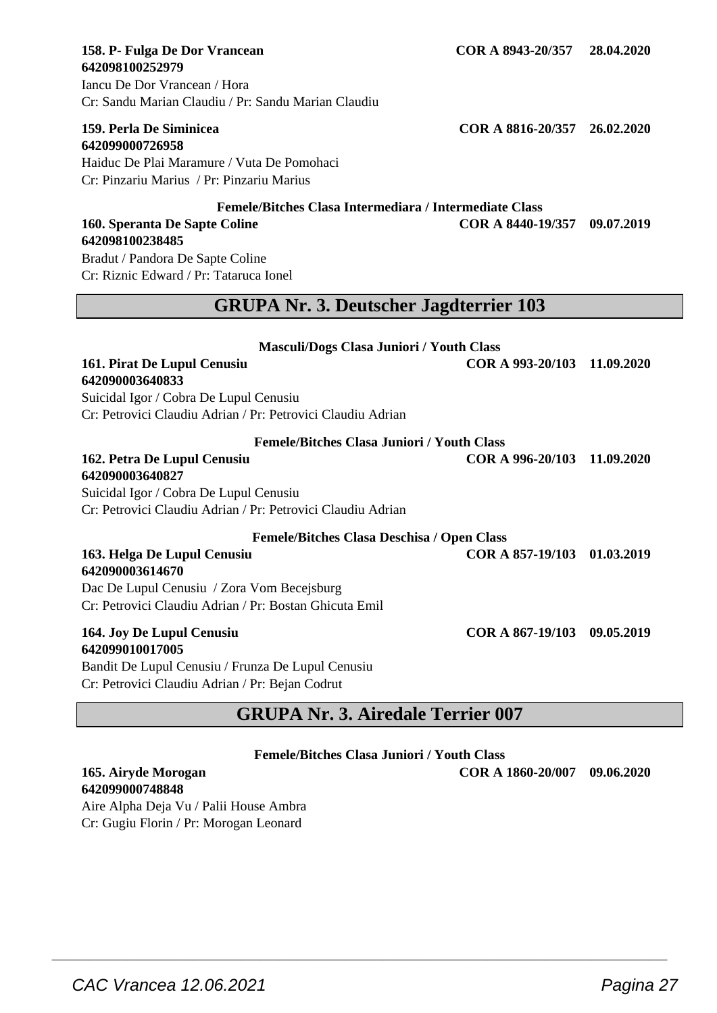Iancu De Dor Vrancean / Hora Cr: Sandu Marian Claudiu / Pr: Sandu Marian Claudiu

**642099000726958**

**642098100238485**

Haiduc De Plai Maramure / Vuta De Pomohaci Cr: Pinzariu Marius / Pr: Pinzariu Marius

#### **Femele/Bitches Clasa Intermediara / Intermediate Class 160. Speranta De Sapte Coline**

Bradut / Pandora De Sapte Coline Cr: Riznic Edward / Pr: Tataruca Ionel

# **GRUPA Nr. 3. Deutscher Jagdterrier 103**

| <b>Masculi/Dogs Clasa Juniori / Youth Class</b>                                                      |                             |            |
|------------------------------------------------------------------------------------------------------|-----------------------------|------------|
| 161. Pirat De Lupul Cenusiu<br>642090003640833                                                       | COR A 993-20/103 11.09.2020 |            |
| Suicidal Igor / Cobra De Lupul Cenusiu                                                               |                             |            |
| Cr: Petrovici Claudiu Adrian / Pr: Petrovici Claudiu Adrian                                          |                             |            |
| <b>Femele/Bitches Clasa Juniori / Youth Class</b>                                                    |                             |            |
| 162. Petra De Lupul Cenusiu                                                                          | COR A 996-20/103 11.09.2020 |            |
| 642090003640827                                                                                      |                             |            |
| Suicidal Igor / Cobra De Lupul Cenusiu                                                               |                             |            |
| Cr: Petrovici Claudiu Adrian / Pr: Petrovici Claudiu Adrian                                          |                             |            |
| <b>Femele/Bitches Clasa Deschisa / Open Class</b>                                                    |                             |            |
| 163. Helga De Lupul Cenusiu<br>642090003614670                                                       | COR A 857-19/103 01.03.2019 |            |
| Dac De Lupul Cenusiu / Zora Vom Becejsburg                                                           |                             |            |
| Cr: Petrovici Claudiu Adrian / Pr: Bostan Ghicuta Emil                                               |                             |            |
| 164. Joy De Lupul Cenusiu<br>642099010017005                                                         | COR A 867-19/103            | 09.05.2019 |
| Bandit De Lupul Cenusiu / Frunza De Lupul Cenusiu<br>Cr: Petrovici Claudiu Adrian / Pr: Bejan Codrut |                             |            |

# **GRUPA Nr. 3. Airedale Terrier 007**

**Femele/Bitches Clasa Juniori / Youth Class**

 $\overline{\phantom{a}}$  , and the set of the set of the set of the set of the set of the set of the set of the set of the set of the set of the set of the set of the set of the set of the set of the set of the set of the set of the s

**165. Airyde Morogan COR A 1860-20/007 09.06.2020**

**642099000748848** Aire Alpha Deja Vu / Palii House Ambra Cr: Gugiu Florin / Pr: Morogan Leonard

**159. Perla De Siminicea COR A 8816-20/357 26.02.2020**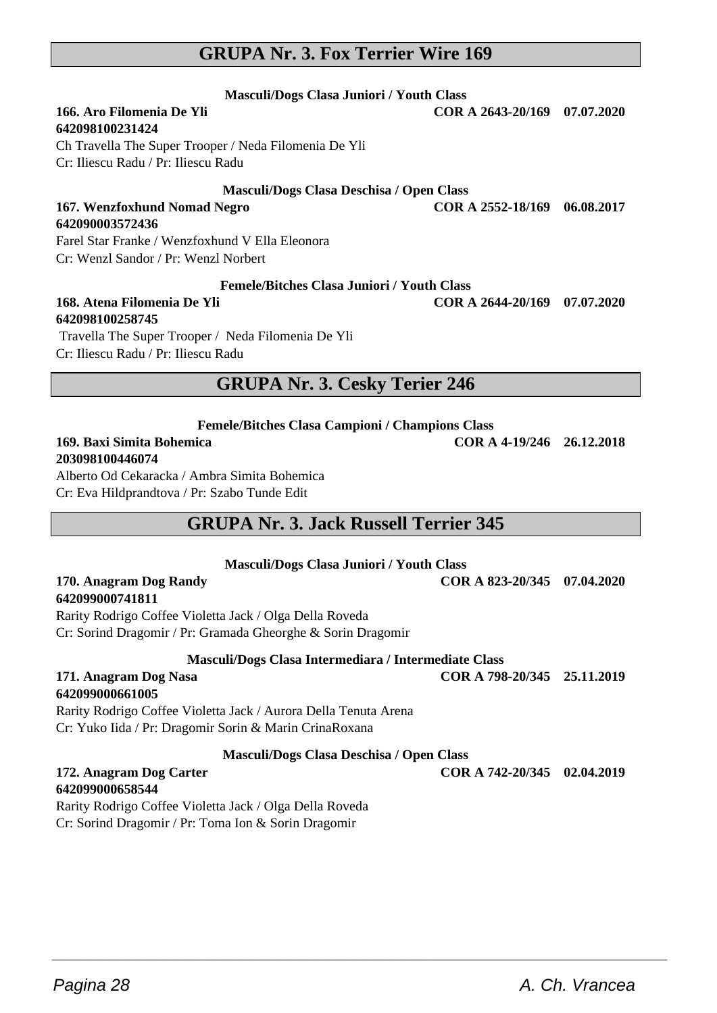# **GRUPA Nr. 3. Fox Terrier Wire 169**

#### **Masculi/Dogs Clasa Juniori / Youth Class 166. Aro Filomenia De Yli COR A 2643-20/169 07.07.2020**

# **642098100231424**

**642090003572436**

Ch Travella The Super Trooper / Neda Filomenia De Yli Cr: Iliescu Radu / Pr: Iliescu Radu

#### **Masculi/Dogs Clasa Deschisa / Open Class**

# Cr: Wenzl Sandor / Pr: Wenzl Norbert

#### **Femele/Bitches Clasa Juniori / Youth Class**

#### **168. Atena Filomenia De Yli COR A 2644-20/169 07.07.2020 642098100258745**

 Travella The Super Trooper / Neda Filomenia De Yli Cr: Iliescu Radu / Pr: Iliescu Radu

Farel Star Franke / Wenzfoxhund V Ella Eleonora

#### **GRUPA Nr. 3. Cesky Terier 246**

**Femele/Bitches Clasa Campioni / Champions Class**

#### **169. Baxi Simita Bohemica COR A 4-19/246 26.12.2018 203098100446074**

Alberto Od Cekaracka / Ambra Simita Bohemica Cr: Eva Hildprandtova / Pr: Szabo Tunde Edit

# **GRUPA Nr. 3. Jack Russell Terrier 345**

**Masculi/Dogs Clasa Juniori / Youth Class**

**170. Anagram Dog Randy COR A 823-20/345 07.04.2020**

#### **642099000741811**

Rarity Rodrigo Coffee Violetta Jack / Olga Della Roveda Cr: Sorind Dragomir / Pr: Gramada Gheorghe & Sorin Dragomir

**Masculi/Dogs Clasa Intermediara / Intermediate Class**

#### **171. Anagram Dog Nasa COR A 798-20/345 25.11.2019 642099000661005**

Rarity Rodrigo Coffee Violetta Jack / Aurora Della Tenuta Arena Cr: Yuko Iida / Pr: Dragomir Sorin & Marin CrinaRoxana

#### **Masculi/Dogs Clasa Deschisa / Open Class**

#### **172. Anagram Dog Carter COR A 742-20/345 02.04.2019 642099000658544**

Rarity Rodrigo Coffee Violetta Jack / Olga Della Roveda Cr: Sorind Dragomir / Pr: Toma Ion & Sorin Dragomir

**167. Wenzfoxhund Nomad Negro COR A 2552-18/169 06.08.2017**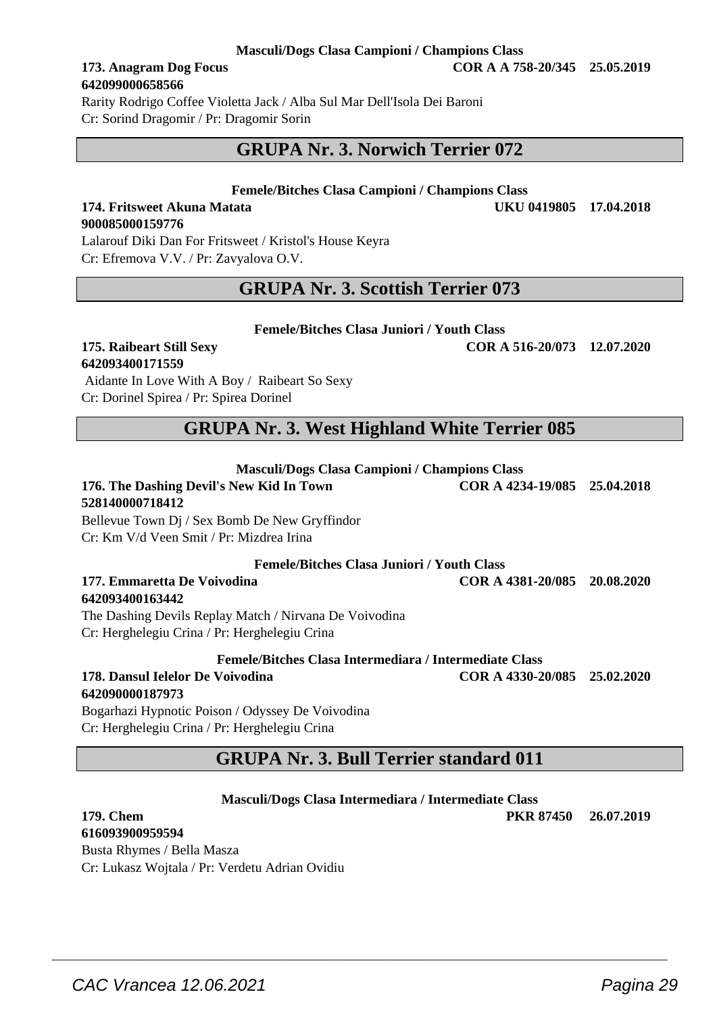#### **Masculi/Dogs Clasa Campioni / Champions Class**

# **642099000658566**

Rarity Rodrigo Coffee Violetta Jack / Alba Sul Mar Dell'Isola Dei Baroni Cr: Sorind Dragomir / Pr: Dragomir Sorin

# **GRUPA Nr. 3. Norwich Terrier 072**

#### **Femele/Bitches Clasa Campioni / Champions Class**

#### **174. Fritsweet Akuna Matata UKU 0419805 17.04.2018 900085000159776** Lalarouf Diki Dan For Fritsweet / Kristol's House Keyra

Cr: Efremova V.V. / Pr: Zavyalova O.V.

## **GRUPA Nr. 3. Scottish Terrier 073**

#### **Femele/Bitches Clasa Juniori / Youth Class**

# **642093400171559**

 Aidante In Love With A Boy / Raibeart So Sexy Cr: Dorinel Spirea / Pr: Spirea Dorinel

# **GRUPA Nr. 3. West Highland White Terrier 085**

**Masculi/Dogs Clasa Campioni / Champions Class**

#### **176. The Dashing Devil's New Kid In Town COR A 4234-19/085 25.04.2018 528140000718412**

Bellevue Town Dj / Sex Bomb De New Gryffindor Cr: Km V/d Veen Smit / Pr: Mizdrea Irina

**Femele/Bitches Clasa Juniori / Youth Class**

**177. Emmaretta De Voivodina COR A 4381-20/085 20.08.2020**

#### **642093400163442**

The Dashing Devils Replay Match / Nirvana De Voivodina Cr: Herghelegiu Crina / Pr: Herghelegiu Crina

**Femele/Bitches Clasa Intermediara / Intermediate Class**

#### **178. Dansul Ielelor De Voivodina COR A 4330-20/085 25.02.2020 642090000187973**

Bogarhazi Hypnotic Poison / Odyssey De Voivodina Cr: Herghelegiu Crina / Pr: Herghelegiu Crina

# **GRUPA Nr. 3. Bull Terrier standard 011**

**Masculi/Dogs Clasa Intermediara / Intermediate Class**

 $\overline{\phantom{a}}$  , and the set of the set of the set of the set of the set of the set of the set of the set of the set of the set of the set of the set of the set of the set of the set of the set of the set of the set of the s

**179. Chem PKR 87450 26.07.2019**

**616093900959594** Busta Rhymes / Bella Masza Cr: Lukasz Wojtala / Pr: Verdetu Adrian Ovidiu

**173. Anagram Dog Focus COR A A 758-20/345 25.05.2019**

**175. Raibeart Still Sexy COR A 516-20/073 12.07.2020**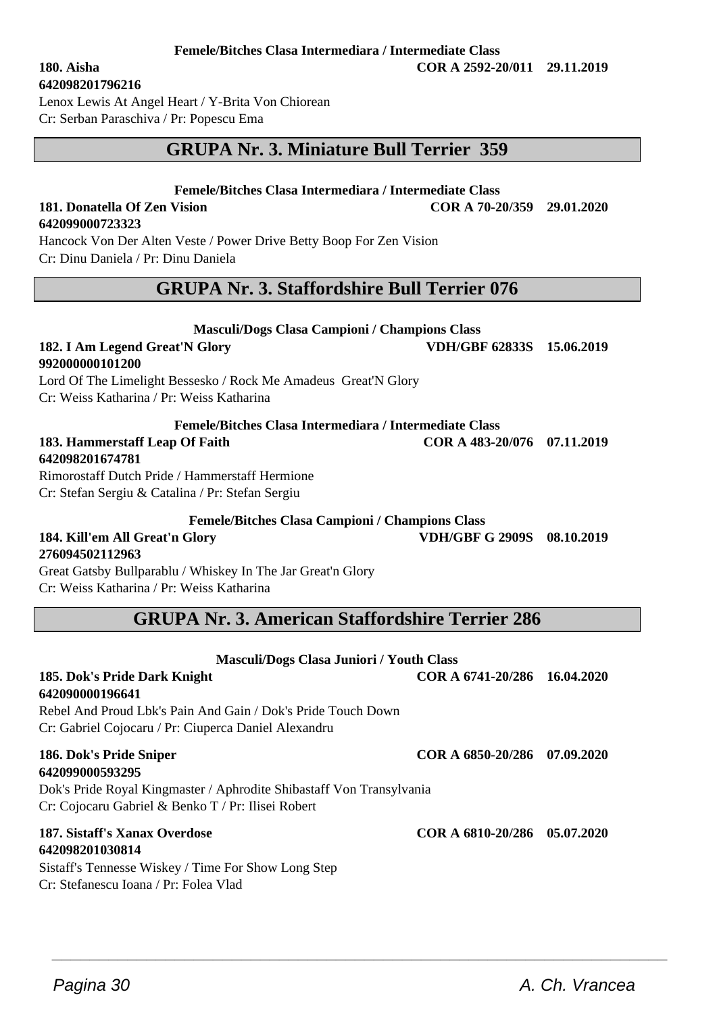#### **642098201796216**

Lenox Lewis At Angel Heart / Y-Brita Von Chiorean

Cr: Serban Paraschiva / Pr: Popescu Ema

# **GRUPA Nr. 3. Miniature Bull Terrier 359**

#### **Femele/Bitches Clasa Intermediara / Intermediate Class**

**181. Donatella Of Zen Vision COR A 70-20/359 29.01.2020**

**642099000723323**

Hancock Von Der Alten Veste / Power Drive Betty Boop For Zen Vision Cr: Dinu Daniela / Pr: Dinu Daniela

## **GRUPA Nr. 3. Staffordshire Bull Terrier 076**

**Masculi/Dogs Clasa Campioni / Champions Class 182. I Am Legend Great'N Glory VDH/GBF 62833S 15.06.2019**

| 992000000101200                                                |                              |            |
|----------------------------------------------------------------|------------------------------|------------|
| Lord Of The Limelight Bessesko / Rock Me Amadeus Great'N Glory |                              |            |
| Cr: Weiss Katharina / Pr: Weiss Katharina                      |                              |            |
| Femele/Bitches Clasa Intermediara / Intermediate Class         |                              |            |
| 183. Hammerstaff Leap Of Faith                                 | COR A 483-20/076 07.11.2019  |            |
| 642098201674781                                                |                              |            |
| Rimorostaff Dutch Pride / Hammerstaff Hermione                 |                              |            |
| Cr: Stefan Sergiu & Catalina / Pr: Stefan Sergiu               |                              |            |
| <b>Femele/Bitches Clasa Campioni / Champions Class</b>         |                              |            |
| 184. Kill'em All Great'n Glory                                 | VDH/GBF G 2909S              | 08.10.2019 |
| 276094502112963                                                |                              |            |
| Great Gatsby Bullparablu / Whiskey In The Jar Great'n Glory    |                              |            |
| Cr: Weiss Katharina / Pr: Weiss Katharina                      |                              |            |
| <b>GRUPA Nr. 3. American Staffordshire Terrier 286</b>         |                              |            |
|                                                                |                              |            |
| <b>Masculi/Dogs Clasa Juniori / Youth Class</b>                |                              |            |
| 185. Dok's Pride Dark Knight                                   | COR A 6741-20/286 16.04.2020 |            |
| 642090000196641                                                |                              |            |
| Rebel And Proud Lbk's Pain And Gain / Dok's Pride Touch Down   |                              |            |
| Cr: Gabriel Cojocaru / Pr: Ciuperca Daniel Alexandru           |                              |            |

 $\overline{\phantom{a}}$  , and the set of the set of the set of the set of the set of the set of the set of the set of the set of the set of the set of the set of the set of the set of the set of the set of the set of the set of the s

# **642099000593295**

Dok's Pride Royal Kingmaster / Aphrodite Shibastaff Von Transylvania Cr: Cojocaru Gabriel & Benko T / Pr: Ilisei Robert

#### **187. Sistaff's Xanax Overdose COR A 6810-20/286 05.07.2020 642098201030814**

Sistaff's Tennesse Wiskey / Time For Show Long Step Cr: Stefanescu Ioana / Pr: Folea Vlad

**186. Dok's Pride Sniper COR A 6850-20/286 07.09.2020**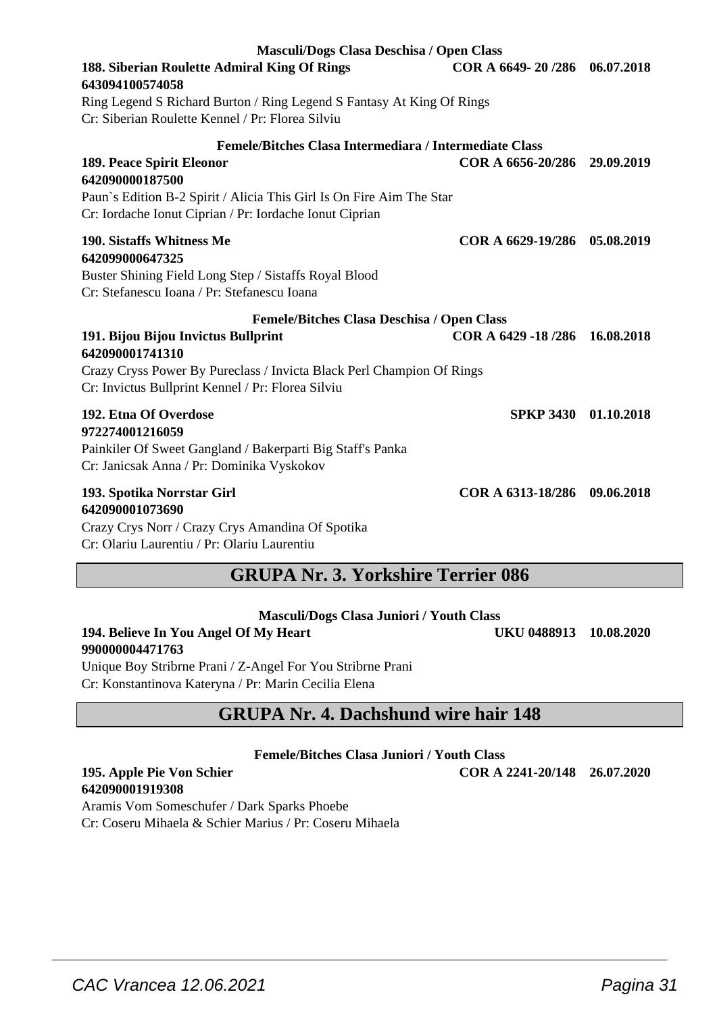Ring Legend S Richard Burton / Ring Legend S Fantasy At King Of Rings Cr: Siberian Roulette Kennel / Pr: Florea Silviu **Femele/Bitches Clasa Intermediara / Intermediate Class 189. Peace Spirit Eleonor COR A 6656-20/286 29.09.2019 642090000187500** Paun`s Edition B-2 Spirit / Alicia This Girl Is On Fire Aim The Star Cr: Iordache Ionut Ciprian / Pr: Iordache Ionut Ciprian **190. Sistaffs Whitness Me COR A 6629-19/286 05.08.2019 642099000647325** Buster Shining Field Long Step / Sistaffs Royal Blood Cr: Stefanescu Ioana / Pr: Stefanescu Ioana **Femele/Bitches Clasa Deschisa / Open Class 191. Bijou Bijou Invictus Bullprint COR A 6429 -18 /286 16.08.2018 642090001741310** Crazy Cryss Power By Pureclass / Invicta Black Perl Champion Of Rings Cr: Invictus Bullprint Kennel / Pr: Florea Silviu **192. Etna Of Overdose SPKP 3430 01.10.2018 972274001216059** Painkiler Of Sweet Gangland / Bakerparti Big Staff's Panka Cr: Janicsak Anna / Pr: Dominika Vyskokov **193. Spotika Norrstar Girl COR A 6313-18/286 09.06.2018 642090001073690**

Crazy Crys Norr / Crazy Crys Amandina Of Spotika Cr: Olariu Laurentiu / Pr: Olariu Laurentiu

**643094100574058**

# **GRUPA Nr. 3. Yorkshire Terrier 086**

| Masculi/Dogs Clasa Juniori / Youth Class |                        |  |
|------------------------------------------|------------------------|--|
| 194. Believe In You Angel Of My Heart    | UKU 0488913 10.08.2020 |  |

**990000004471763** Unique Boy Stribrne Prani / Z-Angel For You Stribrne Prani Cr: Konstantinova Kateryna / Pr: Marin Cecilia Elena

# **GRUPA Nr. 4. Dachshund wire hair 148**

**Femele/Bitches Clasa Juniori / Youth Class**

**195. Apple Pie Von Schier COR A 2241-20/148 26.07.2020**

**642090001919308**

Aramis Vom Someschufer / Dark Sparks Phoebe

Cr: Coseru Mihaela & Schier Marius / Pr: Coseru Mihaela

**Masculi/Dogs Clasa Deschisa / Open Class 188. Siberian Roulette Admiral King Of Rings COR A 6649- 20 /286 06.07.2018**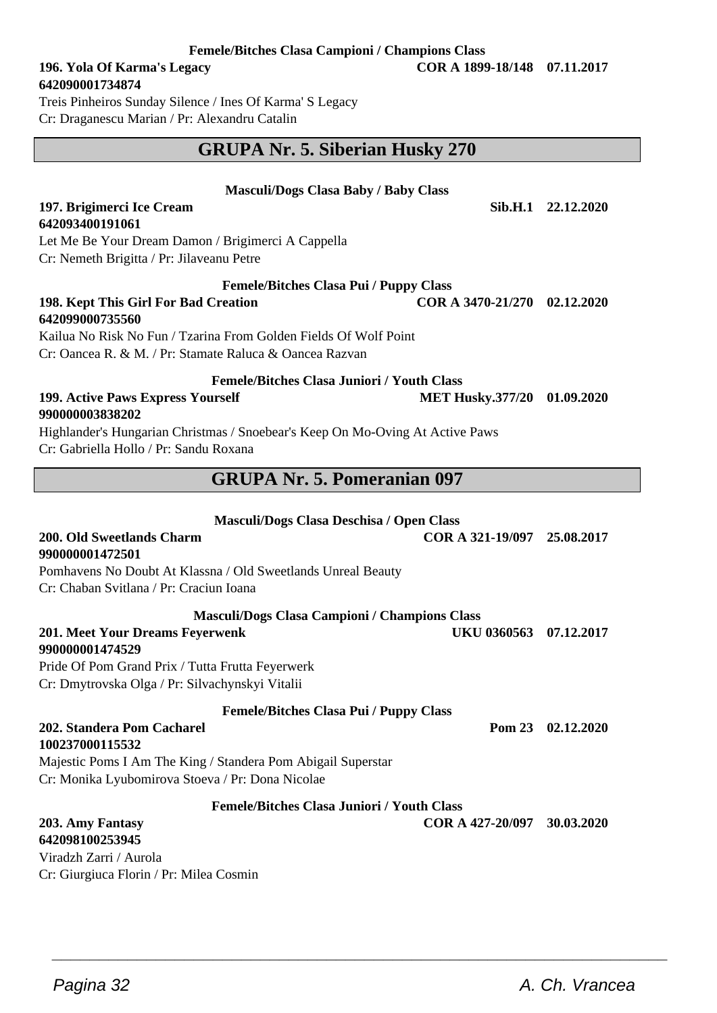**Femele/Bitches Clasa Campioni / Champions Class**

#### **196. Yola Of Karma's Legacy COR A 1899-18/148 07.11.2017 642090001734874**

Treis Pinheiros Sunday Silence / Ines Of Karma' S Legacy

Cr: Draganescu Marian / Pr: Alexandru Catalin

# **GRUPA Nr. 5. Siberian Husky 270**

| <b>Masculi/Dogs Clasa Baby / Baby Class</b>                                                                      |                              |                    |
|------------------------------------------------------------------------------------------------------------------|------------------------------|--------------------|
| 197. Brigimerci Ice Cream                                                                                        |                              | Sib.H.1 22.12.2020 |
| 642093400191061                                                                                                  |                              |                    |
| Let Me Be Your Dream Damon / Brigimerci A Cappella                                                               |                              |                    |
| Cr: Nemeth Brigitta / Pr: Jilaveanu Petre                                                                        |                              |                    |
| <b>Femele/Bitches Clasa Pui / Puppy Class</b>                                                                    |                              |                    |
| 198. Kept This Girl For Bad Creation                                                                             | COR A 3470-21/270 02.12.2020 |                    |
| 642099000735560                                                                                                  |                              |                    |
| Kailua No Risk No Fun / Tzarina From Golden Fields Of Wolf Point                                                 |                              |                    |
| Cr: Oancea R, & M, / Pr: Stamate Raluca & Oancea Razvan                                                          |                              |                    |
| <b>Femele/Bitches Clasa Juniori / Youth Class</b>                                                                |                              |                    |
| 199. Active Paws Express Yourself                                                                                | <b>MET Husky.377/20</b>      | 01.09.2020         |
| 990000003838202                                                                                                  |                              |                    |
| Highlander's Hungarian Christmas / Snoebear's Keep On Mo-Oving At Active Paws                                    |                              |                    |
| Cr: Gabriella Hollo / Pr: Sandu Roxana                                                                           |                              |                    |
| <b>GRUPA Nr. 5. Pomeranian 097</b>                                                                               |                              |                    |
|                                                                                                                  |                              |                    |
| Masculi/Dogs Clasa Deschisa / Open Class                                                                         |                              |                    |
|                                                                                                                  |                              |                    |
| 200. Old Sweetlands Charm                                                                                        | COR A 321-19/097 25.08.2017  |                    |
| 990000001472501                                                                                                  |                              |                    |
| Pomhavens No Doubt At Klassna / Old Sweetlands Unreal Beauty                                                     |                              |                    |
| Cr: Chaban Svitlana / Pr: Craciun Ioana                                                                          |                              |                    |
|                                                                                                                  |                              |                    |
| <b>Masculi/Dogs Clasa Campioni / Champions Class</b>                                                             |                              |                    |
| 201. Meet Your Dreams Feyerwenk<br>990000001474529                                                               | UKU 0360563                  | 07.12.2017         |
|                                                                                                                  |                              |                    |
| Pride Of Pom Grand Prix / Tutta Frutta Feyerwerk                                                                 |                              |                    |
| Cr: Dmytrovska Olga / Pr: Silvachynskyi Vitalii                                                                  |                              |                    |
| <b>Femele/Bitches Clasa Pui / Puppy Class</b>                                                                    |                              |                    |
| 202. Standera Pom Cacharel                                                                                       | <b>Pom 23</b>                | 02.12.2020         |
| 100237000115532                                                                                                  |                              |                    |
| Majestic Poms I Am The King / Standera Pom Abigail Superstar<br>Cr: Monika Lyubomirova Stoeva / Pr: Dona Nicolae |                              |                    |
|                                                                                                                  |                              |                    |
| <b>Femele/Bitches Clasa Juniori / Youth Class</b>                                                                |                              |                    |
| 203. Amy Fantasy<br>642098100253945                                                                              | COR A 427-20/097             | 30.03.2020         |
| Viradzh Zarri / Aurola                                                                                           |                              |                    |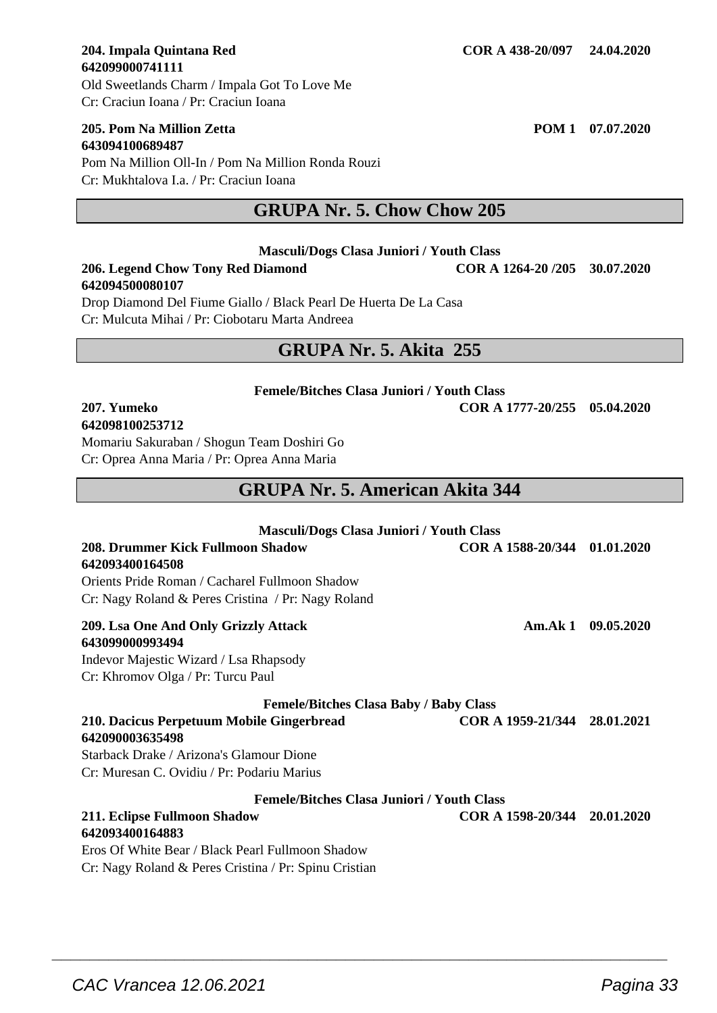#### **205. Pom Na Million Zetta POM 1 07.07.2020 643094100689487**

Pom Na Million Oll-In / Pom Na Million Ronda Rouzi Cr: Mukhtalova I.a. / Pr: Craciun Ioana

# **GRUPA Nr. 5. Chow Chow 205**

**Masculi/Dogs Clasa Juniori / Youth Class**

#### **206. Legend Chow Tony Red Diamond COR A 1264-20 /205 30.07.2020 642094500080107**

Drop Diamond Del Fiume Giallo / Black Pearl De Huerta De La Casa Cr: Mulcuta Mihai / Pr: Ciobotaru Marta Andreea

# **GRUPA Nr. 5. Akita 255**

## **Femele/Bitches Clasa Juniori / Youth Class**

#### **207. Yumeko COR A 1777-20/255 05.04.2020 642098100253712**

Momariu Sakuraban / Shogun Team Doshiri Go Cr: Oprea Anna Maria / Pr: Oprea Anna Maria

# **GRUPA Nr. 5. American Akita 344**

| <b>Masculi/Dogs Clasa Juniori / Youth Class</b>       |                              |            |
|-------------------------------------------------------|------------------------------|------------|
| 208. Drummer Kick Fullmoon Shadow                     | COR A 1588-20/344 01.01.2020 |            |
| 642093400164508                                       |                              |            |
| Orients Pride Roman / Cacharel Fullmoon Shadow        |                              |            |
| Cr: Nagy Roland & Peres Cristina / Pr: Nagy Roland    |                              |            |
| 209. Lsa One And Only Grizzly Attack                  | Am.Ak 1                      | 09.05.2020 |
| 643099000993494                                       |                              |            |
| Indevor Majestic Wizard / Lsa Rhapsody                |                              |            |
| Cr: Khromov Olga / Pr: Turcu Paul                     |                              |            |
| <b>Femele/Bitches Clasa Baby / Baby Class</b>         |                              |            |
| 210. Dacicus Perpetuum Mobile Gingerbread             | COR A 1959-21/344 28.01.2021 |            |
| 642090003635498                                       |                              |            |
| Starback Drake / Arizona's Glamour Dione              |                              |            |
| Cr: Muresan C. Ovidiu / Pr: Podariu Marius            |                              |            |
| <b>Femele/Bitches Clasa Juniori / Youth Class</b>     |                              |            |
| 211. Eclipse Fullmoon Shadow                          | COR A 1598-20/344 20.01.2020 |            |
| 642093400164883                                       |                              |            |
| Eros Of White Bear / Black Pearl Fullmoon Shadow      |                              |            |
| Cr: Nagy Roland & Peres Cristina / Pr: Spinu Cristian |                              |            |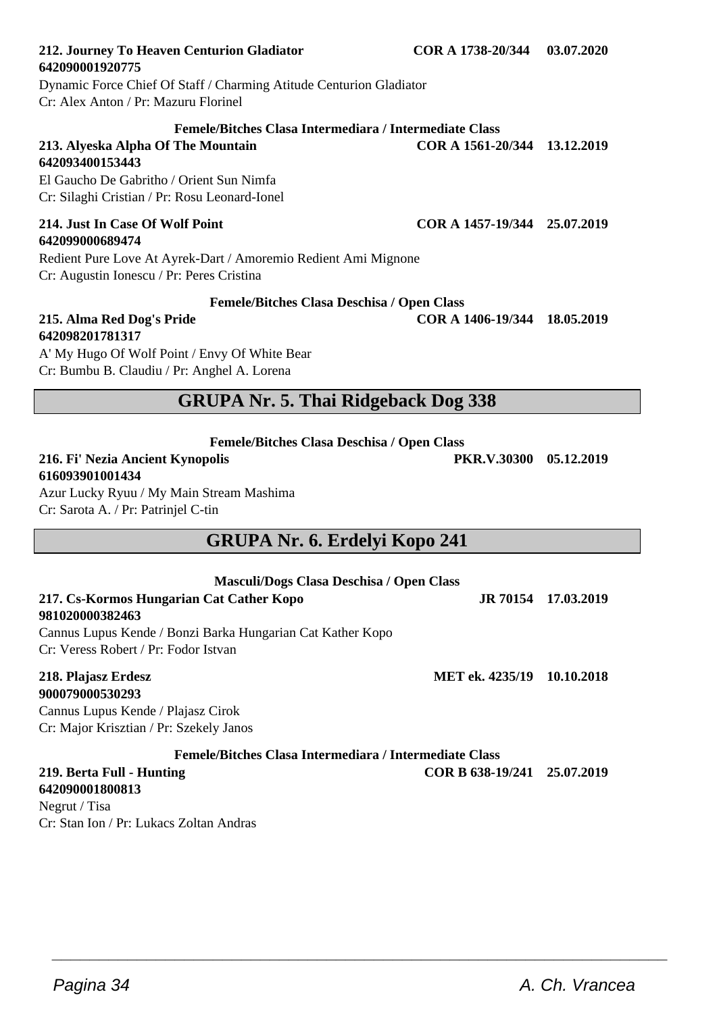#### **212. Journey To Heaven Centurion Gladiator COR A 1738-20/344 03.07.2020 642090001920775**

Dynamic Force Chief Of Staff / Charming Atitude Centurion Gladiator Cr: Alex Anton / Pr: Mazuru Florinel

#### **Femele/Bitches Clasa Intermediara / Intermediate Class**

## **213. Alyeska Alpha Of The Mountain COR A 1561-20/344 13.12.2019 642093400153443**

El Gaucho De Gabritho / Orient Sun Nimfa Cr: Silaghi Cristian / Pr: Rosu Leonard-Ionel

# **642099000689474**

Redient Pure Love At Ayrek-Dart / Amoremio Redient Ami Mignone Cr: Augustin Ionescu / Pr: Peres Cristina

#### **Femele/Bitches Clasa Deschisa / Open Class**

#### **215. Alma Red Dog's Pride COR A 1406-19/344 18.05.2019 642098201781317**

A' My Hugo Of Wolf Point / Envy Of White Bear Cr: Bumbu B. Claudiu / Pr: Anghel A. Lorena

# **GRUPA Nr. 5. Thai Ridgeback Dog 338**

**Femele/Bitches Clasa Deschisa / Open Class**

# **616093901001434**

Azur Lucky Ryuu / My Main Stream Mashima Cr: Sarota A. / Pr: Patrinjel C-tin

# **GRUPA Nr. 6. Erdelyi Kopo 241**

| Masculi/Dogs Clasa Deschisa / Open Class                   |                             |                     |
|------------------------------------------------------------|-----------------------------|---------------------|
| 217. Cs-Kormos Hungarian Cat Cather Kopo                   |                             | JR 70154 17.03.2019 |
| 981020000382463                                            |                             |                     |
| Cannus Lupus Kende / Bonzi Barka Hungarian Cat Kather Kopo |                             |                     |
| Cr: Veress Robert / Pr: Fodor Istvan                       |                             |                     |
| 218. Plajasz Erdesz                                        | MET ek. 4235/19 10.10.2018  |                     |
| 900079000530293                                            |                             |                     |
| Cannus Lupus Kende / Plajasz Cirok                         |                             |                     |
| Cr: Major Krisztian / Pr: Szekely Janos                    |                             |                     |
| Femele/Bitches Clasa Intermediara / Intermediate Class     |                             |                     |
| 219. Berta Full - Hunting                                  | COR B 638-19/241 25.07.2019 |                     |

 $\overline{\phantom{a}}$  , and the set of the set of the set of the set of the set of the set of the set of the set of the set of the set of the set of the set of the set of the set of the set of the set of the set of the set of the s

## **642090001800813**

Negrut / Tisa Cr: Stan Ion / Pr: Lukacs Zoltan Andras

**214. Just In Case Of Wolf Point COR A 1457-19/344 25.07.2019**

**216. Fi' Nezia Ancient Kynopolis PKR.V.30300 05.12.2019**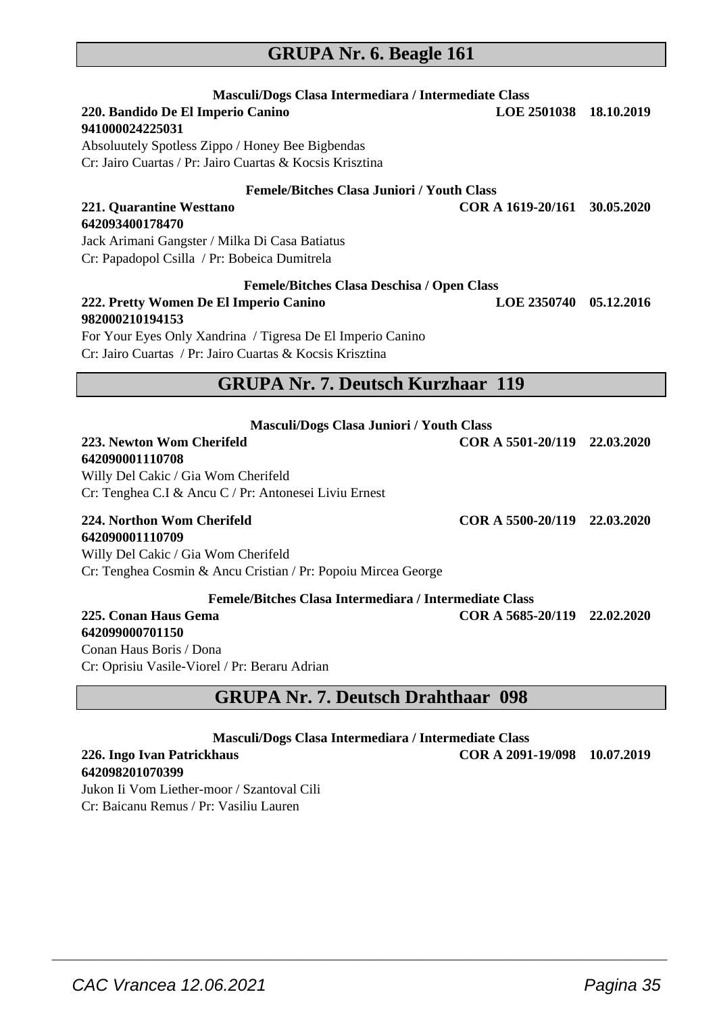## **GRUPA Nr. 6. Beagle 161**

| Masculi/Dogs Clasa Intermediara / Intermediate Class<br>220. Bandido De El Imperio Canino<br>941000024225031<br>Absoluutely Spotless Zippo / Honey Bee Bigbendas<br>Cr: Jairo Cuartas / Pr: Jairo Cuartas & Kocsis Krisztina<br><b>Femele/Bitches Clasa Juniori / Youth Class</b> | LOE 2501038 18.10.2019       |            |
|-----------------------------------------------------------------------------------------------------------------------------------------------------------------------------------------------------------------------------------------------------------------------------------|------------------------------|------------|
| 221. Quarantine Westtano                                                                                                                                                                                                                                                          | COR A 1619-20/161 30.05.2020 |            |
| 642093400178470<br>Jack Arimani Gangster / Milka Di Casa Batiatus<br>Cr: Papadopol Csilla / Pr: Bobeica Dumitrela                                                                                                                                                                 |                              |            |
| <b>Femele/Bitches Clasa Deschisa / Open Class</b><br>222. Pretty Women De El Imperio Canino<br>982000210194153<br>For Your Eyes Only Xandrina / Tigresa De El Imperio Canino<br>Cr: Jairo Cuartas / Pr: Jairo Cuartas & Kocsis Krisztina                                          | <b>LOE 2350740</b>           | 05.12.2016 |
| <b>GRUPA Nr. 7. Deutsch Kurzhaar 119</b>                                                                                                                                                                                                                                          |                              |            |
| Masculi/Dogs Clasa Juniori / Youth Class                                                                                                                                                                                                                                          |                              |            |
| 223. Newton Wom Cherifeld<br>642090001110708<br>Willy Del Cakic / Gia Wom Cherifeld<br>Cr: Tenghea C.I & Ancu C / Pr: Antonesei Liviu Ernest                                                                                                                                      | COR A 5501-20/119 22.03.2020 |            |
| 224. Northon Wom Cherifeld<br>642090001110709<br>Willy Del Cakic / Gia Wom Cherifeld<br>Cr: Tenghea Cosmin & Ancu Cristian / Pr: Popoiu Mircea George                                                                                                                             | COR A 5500-20/119 22.03.2020 |            |
| Femele/Bitches Clasa Intermediara / Intermediate Class<br>225. Conan Haus Gema<br>642099000701150                                                                                                                                                                                 | COR A 5685-20/119 22.02.2020 |            |

Conan Haus Boris / Dona Cr: Oprisiu Vasile-Viorel / Pr: Beraru Adrian

# **GRUPA Nr. 7. Deutsch Drahthaar 098**

**Masculi/Dogs Clasa Intermediara / Intermediate Class**

 $\overline{\phantom{a}}$  , and the set of the set of the set of the set of the set of the set of the set of the set of the set of the set of the set of the set of the set of the set of the set of the set of the set of the set of the s

**226. Ingo Ivan Patrickhaus COR A 2091-19/098 10.07.2019**

#### **642098201070399**

Jukon Ii Vom Liether-moor / Szantoval Cili Cr: Baicanu Remus / Pr: Vasiliu Lauren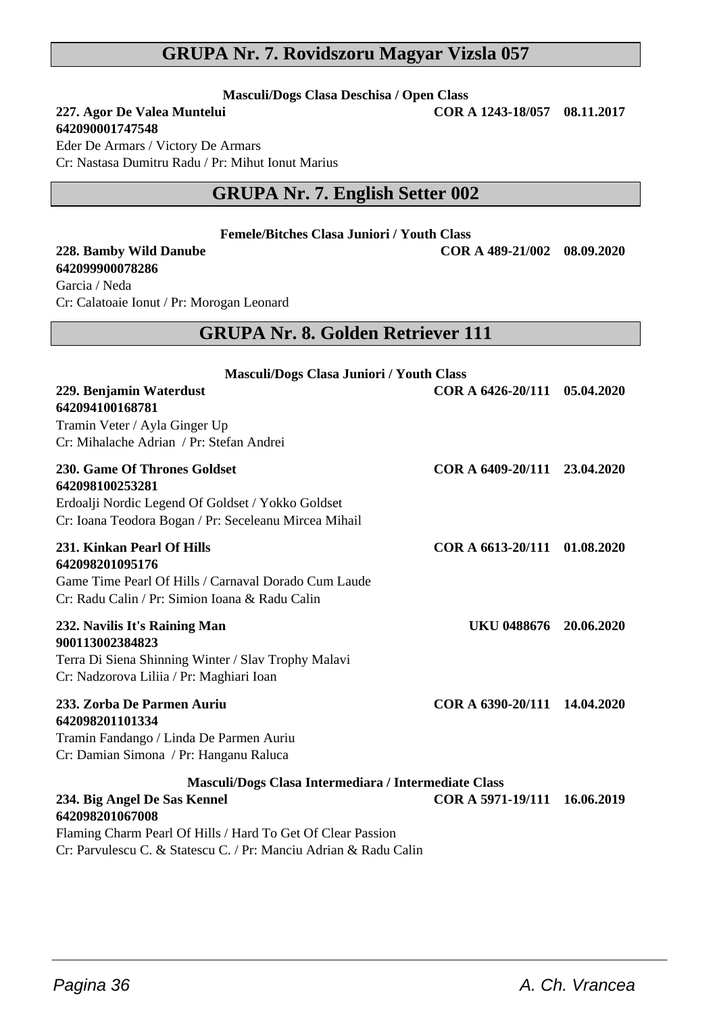#### **GRUPA Nr. 7. Rovidszoru Magyar Vizsla 057**

**Masculi/Dogs Clasa Deschisa / Open Class**

#### **227. Agor De Valea Muntelui**

**642090001747548**

Eder De Armars / Victory De Armars Cr: Nastasa Dumitru Radu / Pr: Mihut Ionut Marius

# **GRUPA Nr. 7. English Setter 002**

**Femele/Bitches Clasa Juniori / Youth Class**

**228. Bamby Wild Danube COR A 489-21/002 08.09.2020 642099900078286** Garcia / Neda Cr: Calatoaie Ionut / Pr: Morogan Leonard

## **GRUPA Nr. 8. Golden Retriever 111**

| Masculi/Dogs Clasa Juniori / Youth Class                                                                                                                               |                              |            |
|------------------------------------------------------------------------------------------------------------------------------------------------------------------------|------------------------------|------------|
| 229. Benjamin Waterdust<br>642094100168781<br>Tramin Veter / Ayla Ginger Up<br>Cr: Mihalache Adrian / Pr: Stefan Andrei                                                | COR A 6426-20/111 05.04.2020 |            |
| 230. Game Of Thrones Goldset<br>642098100253281<br>Erdoalji Nordic Legend Of Goldset / Yokko Goldset<br>Cr: Ioana Teodora Bogan / Pr: Seceleanu Mircea Mihail          | COR A 6409-20/111 23.04.2020 |            |
| 231. Kinkan Pearl Of Hills<br>642098201095176<br>Game Time Pearl Of Hills / Carnaval Dorado Cum Laude<br>Cr: Radu Calin / Pr: Simion Ioana & Radu Calin                | COR A 6613-20/111 01.08.2020 |            |
| 232. Navilis It's Raining Man<br>900113002384823<br>Terra Di Siena Shinning Winter / Slav Trophy Malavi<br>Cr: Nadzorova Liliia / Pr: Maghiari Ioan                    | UKU 0488676                  | 20.06.2020 |
| 233. Zorba De Parmen Auriu<br>642098201101334<br>Tramin Fandango / Linda De Parmen Auriu<br>Cr: Damian Simona / Pr: Hanganu Raluca                                     | COR A 6390-20/111 14.04.2020 |            |
| Masculi/Dogs Clasa Intermediara / Intermediate Class<br>234. Big Angel De Sas Kennel<br>642098201067008<br>Flaming Charm Pearl Of Hills / Hard To Get Of Clear Passion | COR A 5971-19/111 16.06.2019 |            |

 $\overline{\phantom{a}}$  , and the set of the set of the set of the set of the set of the set of the set of the set of the set of the set of the set of the set of the set of the set of the set of the set of the set of the set of the s

Cr: Parvulescu C. & Statescu C. / Pr: Manciu Adrian & Radu Calin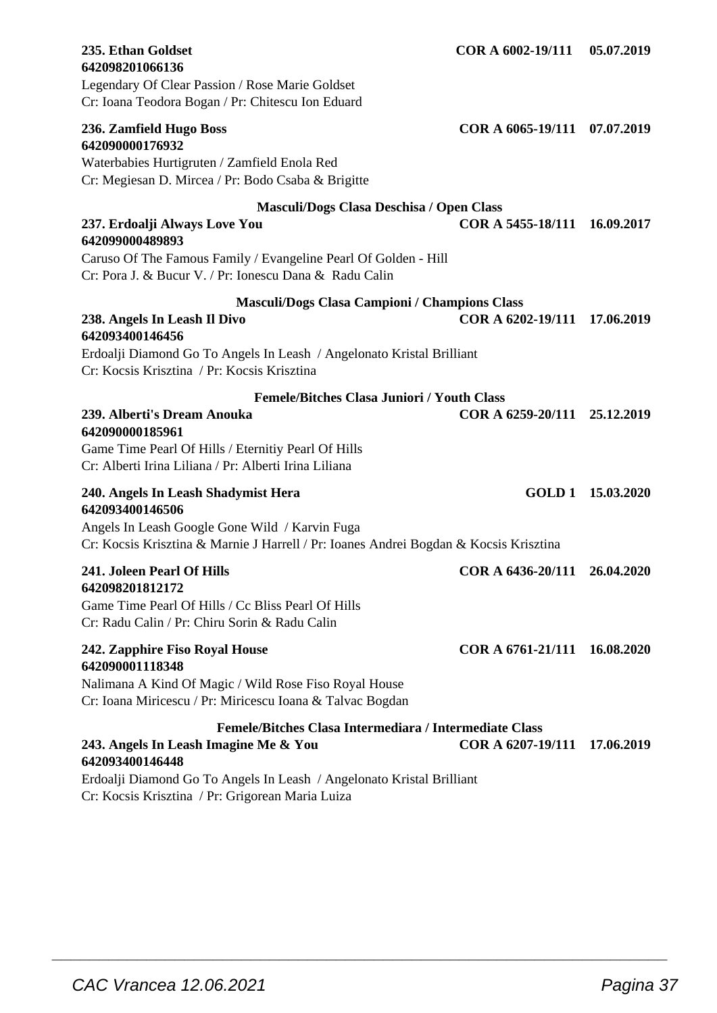| 235. Ethan Goldset<br>642098201066136                                                                                                            | COR A 6002-19/111            | 05.07.2019        |
|--------------------------------------------------------------------------------------------------------------------------------------------------|------------------------------|-------------------|
| Legendary Of Clear Passion / Rose Marie Goldset<br>Cr: Ioana Teodora Bogan / Pr: Chitescu Ion Eduard                                             |                              |                   |
| 236. Zamfield Hugo Boss<br>642090000176932<br>Waterbabies Hurtigruten / Zamfield Enola Red<br>Cr: Megiesan D. Mircea / Pr: Bodo Csaba & Brigitte | COR A 6065-19/111 07.07.2019 |                   |
| Masculi/Dogs Clasa Deschisa / Open Class                                                                                                         |                              |                   |
| 237. Erdoalji Always Love You<br>642099000489893                                                                                                 | COR A 5455-18/111 16.09.2017 |                   |
| Caruso Of The Famous Family / Evangeline Pearl Of Golden - Hill<br>Cr: Pora J. & Bucur V. / Pr: Ionescu Dana & Radu Calin                        |                              |                   |
| Masculi/Dogs Clasa Campioni / Champions Class                                                                                                    |                              |                   |
| 238. Angels In Leash Il Divo<br>642093400146456                                                                                                  | COR A 6202-19/111            | 17.06.2019        |
| Erdoalji Diamond Go To Angels In Leash / Angelonato Kristal Brilliant<br>Cr: Kocsis Krisztina / Pr: Kocsis Krisztina                             |                              |                   |
| <b>Femele/Bitches Clasa Juniori / Youth Class</b>                                                                                                |                              |                   |
| 239. Alberti's Dream Anouka<br>642090000185961                                                                                                   | COR A 6259-20/111            | 25.12.2019        |
| Game Time Pearl Of Hills / Eternitiy Pearl Of Hills<br>Cr: Alberti Irina Liliana / Pr: Alberti Irina Liliana                                     |                              |                   |
| 240. Angels In Leash Shadymist Hera<br>642093400146506                                                                                           |                              | GOLD 1 15.03.2020 |
| Angels In Leash Google Gone Wild / Karvin Fuga<br>Cr: Kocsis Krisztina & Marnie J Harrell / Pr: Ioanes Andrei Bogdan & Kocsis Krisztina          |                              |                   |
| 241. Joleen Pearl Of Hills                                                                                                                       | COR A 6436-20/111            | 26.04.2020        |
| 642098201812172<br>Game Time Pearl Of Hills / Cc Bliss Pearl Of Hills<br>Cr: Radu Calin / Pr: Chiru Sorin & Radu Calin                           |                              |                   |
| 242. Zapphire Fiso Royal House<br>642090001118348                                                                                                | COR A 6761-21/111 16.08.2020 |                   |
| Nalimana A Kind Of Magic / Wild Rose Fiso Royal House<br>Cr: Ioana Miricescu / Pr: Miricescu Ioana & Talvac Bogdan                               |                              |                   |
| Femele/Bitches Clasa Intermediara / Intermediate Class                                                                                           |                              |                   |
| 243. Angels In Leash Imagine Me & You<br>642093400146448                                                                                         | COR A 6207-19/111            | 17.06.2019        |
| Erdoalji Diamond Go To Angels In Leash / Angelonato Kristal Brilliant                                                                            |                              |                   |

Cr: Kocsis Krisztina / Pr: Grigorean Maria Luiza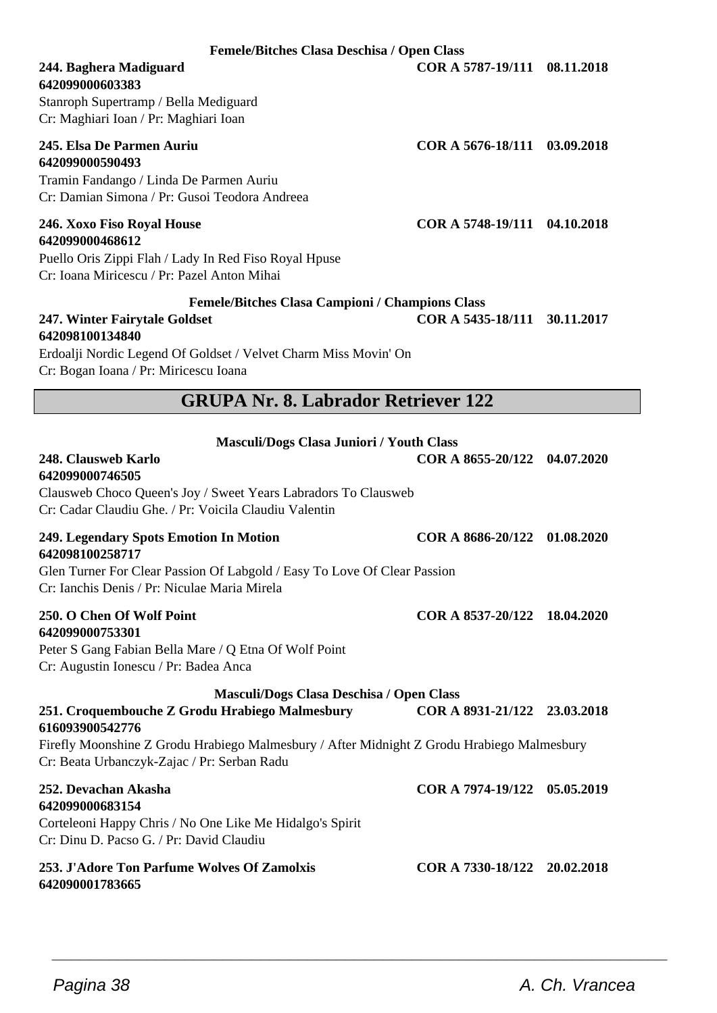**Femele/Bitches Clasa Deschisa / Open Class**

# **642099000603383**

Stanroph Supertramp / Bella Mediguard Cr: Maghiari Ioan / Pr: Maghiari Ioan

# **642099000590493**

Tramin Fandango / Linda De Parmen Auriu Cr: Damian Simona / Pr: Gusoi Teodora Andreea

# **642099000468612**

Puello Oris Zippi Flah / Lady In Red Fiso Royal Hpuse Cr: Ioana Miricescu / Pr: Pazel Anton Mihai

#### **Femele/Bitches Clasa Campioni / Champions Class**

#### **247. Winter Fairytale Goldset COR A 5435-18/111 30.11.2017 642098100134840**

Erdoalji Nordic Legend Of Goldset / Velvet Charm Miss Movin' On Cr: Bogan Ioana / Pr: Miricescu Ioana

## **GRUPA Nr. 8. Labrador Retriever 122**

| Masculi/Dogs Clasa Juniori / Youth Class                                                                                                                                                                                                                   |                              |  |
|------------------------------------------------------------------------------------------------------------------------------------------------------------------------------------------------------------------------------------------------------------|------------------------------|--|
| 248. Clausweb Karlo<br>642099000746505<br>Clausweb Choco Queen's Joy / Sweet Years Labradors To Clausweb<br>Cr: Cadar Claudiu Ghe. / Pr: Voicila Claudiu Valentin                                                                                          | COR A 8655-20/122 04.07.2020 |  |
| 249. Legendary Spots Emotion In Motion<br>642098100258717<br>Glen Turner For Clear Passion Of Labgold / Easy To Love Of Clear Passion<br>Cr: Ianchis Denis / Pr: Niculae Maria Mirela                                                                      | COR A 8686-20/122 01.08.2020 |  |
| 250. O Chen Of Wolf Point<br>642099000753301<br>Peter S Gang Fabian Bella Mare / Q Etna Of Wolf Point<br>Cr: Augustin Ionescu / Pr: Badea Anca                                                                                                             | COR A 8537-20/122 18.04.2020 |  |
| Masculi/Dogs Clasa Deschisa / Open Class<br>251. Croquembouche Z Grodu Hrabiego Malmesbury<br>616093900542776<br>Firefly Moonshine Z Grodu Hrabiego Malmesbury / After Midnight Z Grodu Hrabiego Malmesbury<br>Cr: Beata Urbanczyk-Zajac / Pr: Serban Radu | COR A 8931-21/122 23.03.2018 |  |
| 252. Devachan Akasha<br>642099000683154<br>Corteleoni Happy Chris / No One Like Me Hidalgo's Spirit<br>Cr: Dinu D. Pacso G. / Pr: David Claudiu                                                                                                            | COR A 7974-19/122 05.05.2019 |  |
| 253. J'Adore Ton Parfume Wolves Of Zamolxis<br>642090001783665                                                                                                                                                                                             | COR A 7330-18/122 20.02.2018 |  |

 $\overline{\phantom{a}}$  , and the set of the set of the set of the set of the set of the set of the set of the set of the set of the set of the set of the set of the set of the set of the set of the set of the set of the set of the s

**244. Baghera Madiguard COR A 5787-19/111 08.11.2018**

**245. Elsa De Parmen Auriu COR A 5676-18/111 03.09.2018**

**246. Xoxo Fiso Royal House COR A 5748-19/111 04.10.2018**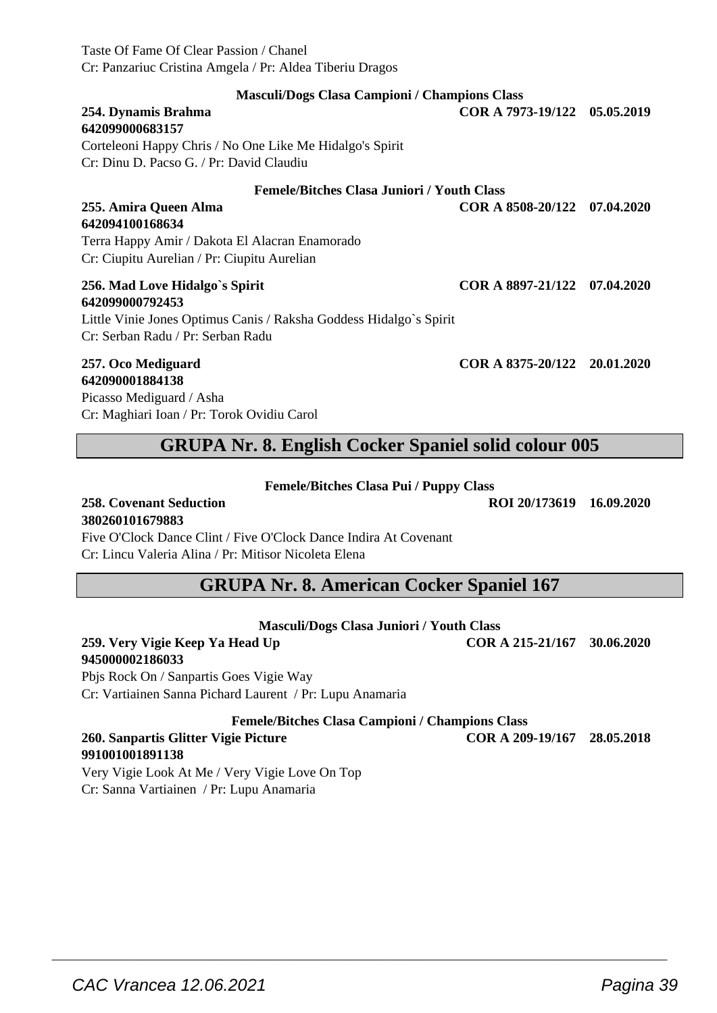Taste Of Fame Of Clear Passion / Chanel Cr: Panzariuc Cristina Amgela / Pr: Aldea Tiberiu Dragos

| <b>Masculi/Dogs Clasa Campioni / Champions Class</b>                                                                    |                              |  |
|-------------------------------------------------------------------------------------------------------------------------|------------------------------|--|
| 254. Dynamis Brahma<br>642099000683157                                                                                  | COR A 7973-19/122 05.05.2019 |  |
| Corteleoni Happy Chris / No One Like Me Hidalgo's Spirit                                                                |                              |  |
| Cr: Dinu D. Pacso G. / Pr: David Claudiu                                                                                |                              |  |
| <b>Femele/Bitches Clasa Juniori / Youth Class</b>                                                                       |                              |  |
| 255. Amira Queen Alma                                                                                                   | COR A 8508-20/122 07.04.2020 |  |
| 642094100168634                                                                                                         |                              |  |
| Terra Happy Amir / Dakota El Alacran Enamorado                                                                          |                              |  |
| Cr: Ciupitu Aurelian / Pr: Ciupitu Aurelian                                                                             |                              |  |
| 256. Mad Love Hidalgo's Spirit<br>642099000792453<br>Little Vinie Jones Optimus Canis / Raksha Goddess Hidalgo's Spirit | COR A 8897-21/122 07.04.2020 |  |
| Cr: Serban Radu / Pr: Serban Radu                                                                                       |                              |  |
| 257. Oco Mediguard<br>-----------------                                                                                 | COR A 8375-20/122 20.01.2020 |  |

**642090001884138** Picasso Mediguard / Asha Cr: Maghiari Ioan / Pr: Torok Ovidiu Carol

# **GRUPA Nr. 8. English Cocker Spaniel solid colour 005**

#### **Femele/Bitches Clasa Pui / Puppy Class**

**258. Covenant Seduction ROI 20/173619 16.09.2020**

**380260101679883**

Five O'Clock Dance Clint / Five O'Clock Dance Indira At Covenant Cr: Lincu Valeria Alina / Pr: Mitisor Nicoleta Elena

## **GRUPA Nr. 8. American Cocker Spaniel 167**

#### **Masculi/Dogs Clasa Juniori / Youth Class**

#### **259. Very Vigie Keep Ya Head Up COR A 215-21/167 30.06.2020 945000002186033**

Pbjs Rock On / Sanpartis Goes Vigie Way Cr: Vartiainen Sanna Pichard Laurent / Pr: Lupu Anamaria

**Femele/Bitches Clasa Campioni / Champions Class**

 $\overline{\phantom{a}}$  , and the set of the set of the set of the set of the set of the set of the set of the set of the set of the set of the set of the set of the set of the set of the set of the set of the set of the set of the s

#### **260. Sanpartis Glitter Vigie Picture COR A 209-19/167 28.05.2018 991001001891138**

Very Vigie Look At Me / Very Vigie Love On Top Cr: Sanna Vartiainen / Pr: Lupu Anamaria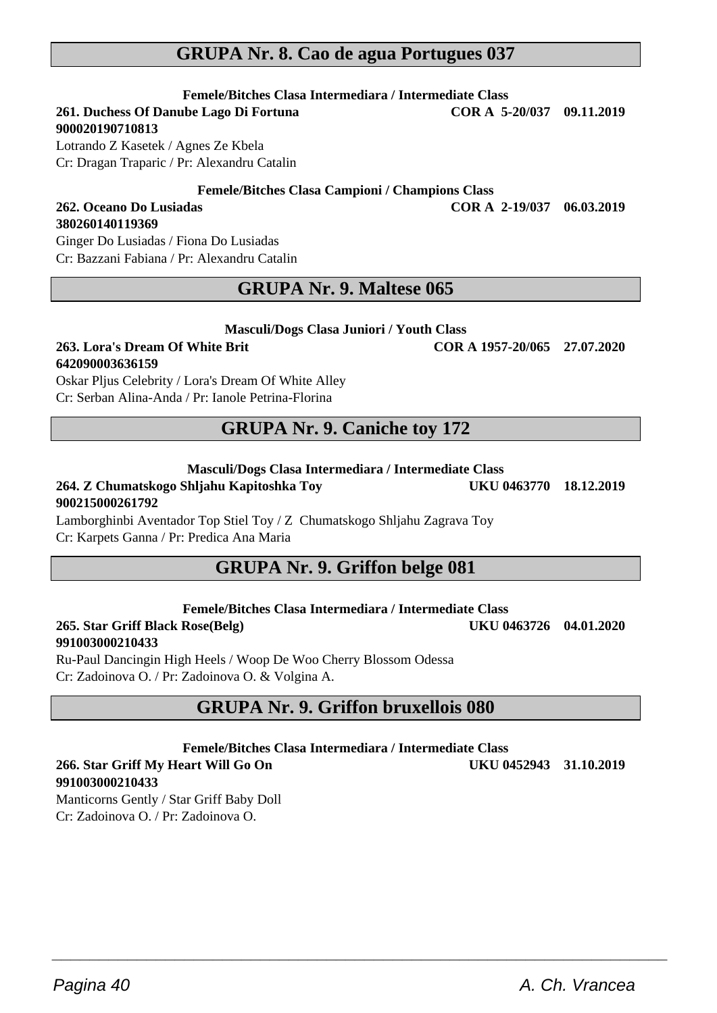# **GRUPA Nr. 8. Cao de agua Portugues 037**

**Femele/Bitches Clasa Intermediara / Intermediate Class 261. Duchess Of Danube Lago Di Fortuna** 

**900020190710813**

**380260140119369**

Lotrando Z Kasetek / Agnes Ze Kbela Cr: Dragan Traparic / Pr: Alexandru Catalin

**Femele/Bitches Clasa Campioni / Champions Class**

#### **262. Oceano Do Lusiadas COR A 2-19/037 06.03.2019**

Ginger Do Lusiadas / Fiona Do Lusiadas Cr: Bazzani Fabiana / Pr: Alexandru Catalin

## **GRUPA Nr. 9. Maltese 065**

#### **263. Lora's Dream Of White Brit COR A 1957-20/065 27.07.2020 642090003636159**

Oskar Pljus Celebrity / Lora's Dream Of White Alley Cr: Serban Alina-Anda / Pr: Ianole Petrina-Florina

# **GRUPA Nr. 9. Caniche toy 172**

#### **Masculi/Dogs Clasa Intermediara / Intermediate Class**

## **264. Z Chumatskogo Shljahu Kapitoshka Toy UKU 0463770 18.12.2019 900215000261792**

Lamborghinbi Aventador Top Stiel Toy / Z Chumatskogo Shljahu Zagrava Toy Cr: Karpets Ganna / Pr: Predica Ana Maria

# **GRUPA Nr. 9. Griffon belge 081**

**Femele/Bitches Clasa Intermediara / Intermediate Class**

**265. Star Griff Black Rose(Belg) UKU 0463726 04.01.2020 991003000210433**

Ru-Paul Dancingin High Heels / Woop De Woo Cherry Blossom Odessa Cr: Zadoinova O. / Pr: Zadoinova O. & Volgina A.

# **GRUPA Nr. 9. Griffon bruxellois 080**

**Femele/Bitches Clasa Intermediara / Intermediate Class**

 $\overline{\phantom{a}}$  , and the set of the set of the set of the set of the set of the set of the set of the set of the set of the set of the set of the set of the set of the set of the set of the set of the set of the set of the s

#### **266. Star Griff My Heart Will Go On UKU 0452943 31.10.2019 991003000210433**

Manticorns Gently / Star Griff Baby Doll Cr: Zadoinova O. / Pr: Zadoinova O.

**Masculi/Dogs Clasa Juniori / Youth Class**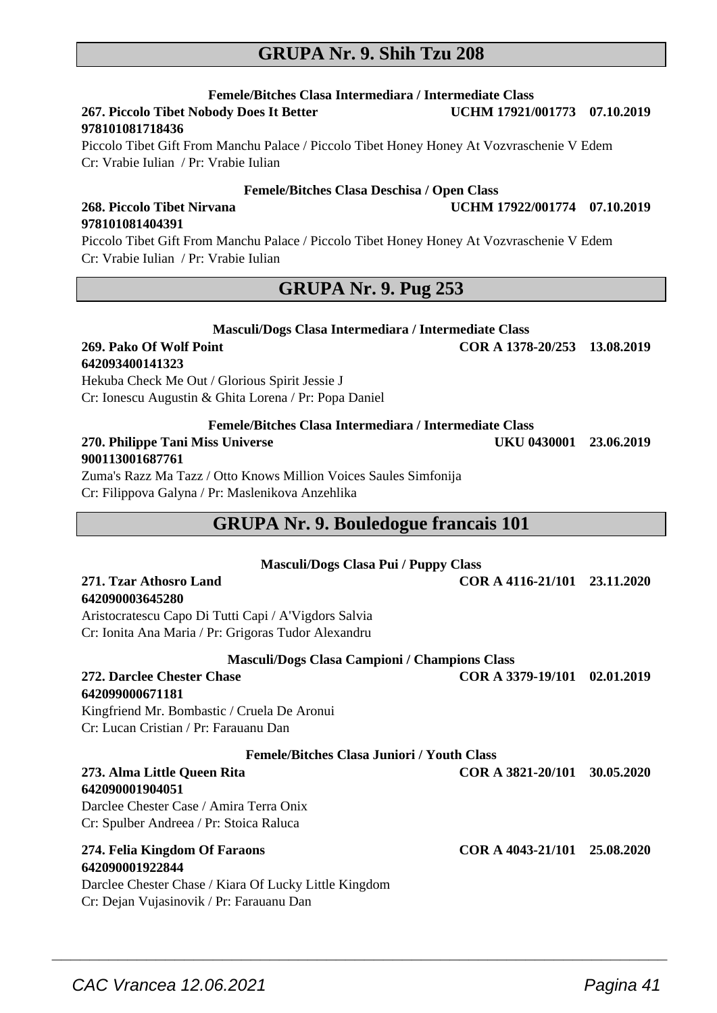## **GRUPA Nr. 9. Shih Tzu 208**

**Femele/Bitches Clasa Intermediara / Intermediate Class 267. Piccolo Tibet Nobody Does It Better** 

#### **978101081718436**

Piccolo Tibet Gift From Manchu Palace / Piccolo Tibet Honey Honey At Vozvraschenie V Edem Cr: Vrabie Iulian / Pr: Vrabie Iulian

#### **Femele/Bitches Clasa Deschisa / Open Class**

#### **268. Piccolo Tibet Nirvana UCHM 17922/001774 07.10.2019 978101081404391**

Piccolo Tibet Gift From Manchu Palace / Piccolo Tibet Honey Honey At Vozvraschenie V Edem Cr: Vrabie Iulian / Pr: Vrabie Iulian

## **GRUPA Nr. 9. Pug 253**

| Masculi/Dogs Clasa Intermediara / Intermediate Class   |                              |  |
|--------------------------------------------------------|------------------------------|--|
| 269. Pako Of Wolf Point                                | COR A 1378-20/253 13.08.2019 |  |
| 642093400141323                                        |                              |  |
| Hekuba Check Me Out / Glorious Spirit Jessie J         |                              |  |
| Cr: Ionescu Augustin & Ghita Lorena / Pr: Popa Daniel  |                              |  |
| Femele/Bitches Clasa Intermediara / Intermediate Class |                              |  |

## **270. Philippe Tani Miss Universe UKU 0430001 23.06.2019 900113001687761**

Zuma's Razz Ma Tazz / Otto Knows Million Voices Saules Simfonija Cr: Filippova Galyna / Pr: Maslenikova Anzehlika

#### **GRUPA Nr. 9. Bouledogue francais 101**

| <b>Masculi/Dogs Clasa Pui / Puppy Class</b>                                                                                                           |                              |            |
|-------------------------------------------------------------------------------------------------------------------------------------------------------|------------------------------|------------|
| 271. Tzar Athosro Land<br>642090003645280                                                                                                             | COR A 4116-21/101 23.11.2020 |            |
| Aristocratescu Capo Di Tutti Capi / A'Vigdors Salvia                                                                                                  |                              |            |
| Cr: Ionita Ana Maria / Pr: Grigoras Tudor Alexandru                                                                                                   |                              |            |
| <b>Masculi/Dogs Clasa Campioni / Champions Class</b>                                                                                                  |                              |            |
| 272. Darclee Chester Chase                                                                                                                            | COR A 3379-19/101            | 02.01.2019 |
| 642099000671181                                                                                                                                       |                              |            |
| Kingfriend Mr. Bombastic / Cruela De Aronui                                                                                                           |                              |            |
| Cr: Lucan Cristian / Pr: Farauanu Dan                                                                                                                 |                              |            |
| <b>Femele/Bitches Clasa Juniori / Youth Class</b>                                                                                                     |                              |            |
| 273. Alma Little Queen Rita<br>642090001904051                                                                                                        | COR A 3821-20/101            | 30.05.2020 |
| Darclee Chester Case / Amira Terra Onix                                                                                                               |                              |            |
| Cr: Spulber Andreea / Pr: Stoica Raluca                                                                                                               |                              |            |
| 274. Felia Kingdom Of Faraons<br>642090001922844<br>Darclee Chester Chase / Kiara Of Lucky Little Kingdom<br>Cr: Dejan Vujasinovik / Pr: Farauanu Dan | COR A 4043-21/101 25.08.2020 |            |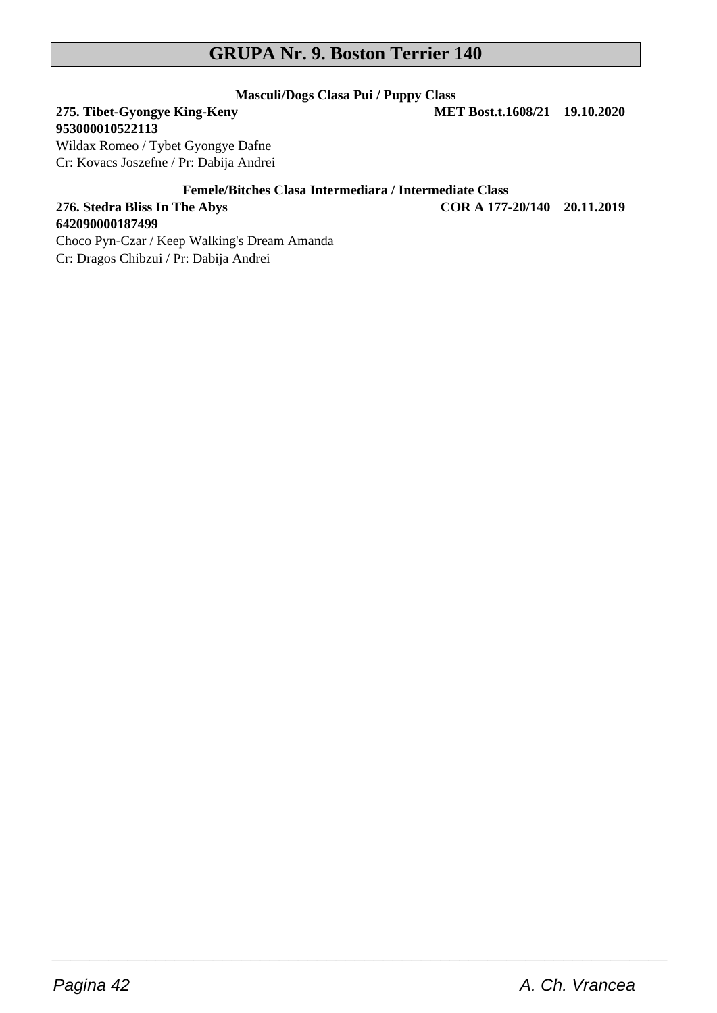# **GRUPA Nr. 9. Boston Terrier 140**

# **Masculi/Dogs Clasa Pui / Puppy Class**

**275. Tibet-Gyongye King-Keny 953000010522113**

**642090000187499**

Wildax Romeo / Tybet Gyongye Dafne Cr: Kovacs Joszefne / Pr: Dabija Andrei

**Femele/Bitches Clasa Intermediara / Intermediate Class**

 $\overline{\phantom{a}}$  , and the set of the set of the set of the set of the set of the set of the set of the set of the set of the set of the set of the set of the set of the set of the set of the set of the set of the set of the s

**276. Stedra Bliss In The Abys COR A 177-20/140 20.11.2019**

Choco Pyn-Czar / Keep Walking's Dream Amanda Cr: Dragos Chibzui / Pr: Dabija Andrei